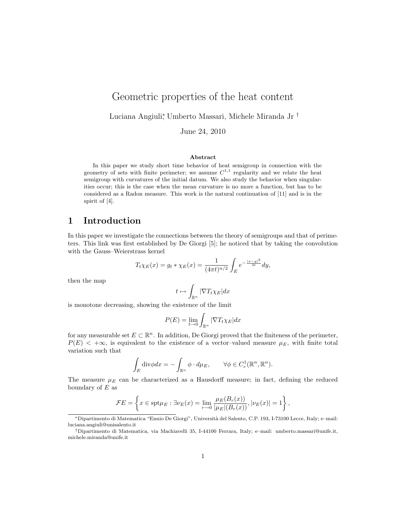# Geometric properties of the heat content

Luciana Angiuli<sup>∗</sup> , Umberto Massari, Michele Miranda Jr †

June 24, 2010

#### Abstract

In this paper we study short time behavior of heat semigroup in connection with the geometry of sets with finite perimeter; we assume  $C^{1,1}$  regularity and we relate the heat semigroup with curvatures of the initial datum. We also study the behavior when singularities occur; this is the case when the mean curvature is no more a function, but has to be considered as a Radon measure. This work is the natural continuation of [11] and is in the spirit of [4].

## 1 Introduction

In this paper we investigate the connections between the theory of semigroups and that of perimeters. This link was first established by De Giorgi [5]; he noticed that by taking the convolution with the Gauss–Weierstrass kernel

$$
T_t \chi_E(x) = g_t * \chi_E(x) = \frac{1}{(4\pi t)^{n/2}} \int_E e^{-\frac{|x-y|^2}{4t}} dy,
$$

then the map

$$
t \mapsto \int_{\mathbb{R}^n} |\nabla T_t \chi_E| dx
$$

is monotone decreasing, showing the existence of the limit

$$
P(E) = \lim_{t \to 0} \int_{\mathbb{R}^n} |\nabla T_t \chi_E| dx
$$

for any measurable set  $E \subset \mathbb{R}^n$ . In addition, De Giorgi proved that the finiteness of the perimeter,  $P(E)$  < + $\infty$ , is equivalent to the existence of a vector-valued measure  $\mu_E$ , with finite total variation such that

$$
\int_E \text{div}\phi dx = -\int_{\mathbb{R}^n} \phi \cdot d\mu_E, \qquad \forall \phi \in C_c^1(\mathbb{R}^n, \mathbb{R}^n).
$$

The measure  $\mu_E$  can be characterized as a Hausdorff measure; in fact, defining the reduced boundary of  $E$  as

$$
\mathcal{F}E = \left\{ x \in \text{spt}\mu_E : \exists \nu_E(x) = \lim_{r \to 0} \frac{\mu_E(B_r(x))}{|\mu_E|(B_r(x))}, |\nu_E(x)| = 1 \right\},\
$$

<sup>∗</sup>Dipartimento di Matematica "Ennio De Giorgi", Universit`a del Salento, C.P. 193, I-73100 Lecce, Italy; e–mail: luciana.angiuli@unisalento.it

<sup>†</sup>Dipartimento di Matematica, via Machiavelli 35, I-44100 Ferrara, Italy; e–mail: umberto.massari@unife.it, michele.miranda@unife.it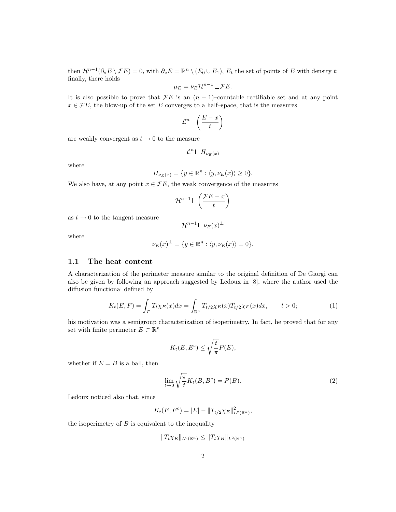then  $\mathcal{H}^{n-1}(\partial_* E \setminus \mathcal{F} E) = 0$ , with  $\partial_* E = \mathbb{R}^n \setminus (E_0 \cup E_1)$ ,  $E_t$  the set of points of E with density t; finally, there holds

$$
\mu_E = \nu_E \mathcal{H}^{n-1} \sqcup \mathcal{F}E.
$$

It is also possible to prove that  $\mathcal{F}E$  is an  $(n-1)$ –countable rectifiable set and at any point  $x \in \mathcal{F}E$ , the blow-up of the set E converges to a half-space, that is the measures

$$
\mathcal{L}^n \mathbb{L}\left(\frac{E-x}{t}\right)
$$

are weakly convergent as  $t \to 0$  to the measure

$$
\mathcal{L}^n \sqcup H_{\nu_E(x)}
$$

where

$$
H_{\nu_E(x)} = \{ y \in \mathbb{R}^n : \langle y, \nu_E(x) \rangle \ge 0 \}.
$$

We also have, at any point  $x \in \mathcal{F}E$ , the weak convergence of the measures

$$
\mathcal{H}^{n-1} \sqcup \left( \frac{\mathcal{F}E - x}{t} \right)
$$

as  $t \to 0$  to the tangent measure

where

$$
\nu_E(x)^{\perp} = \{ y \in \mathbb{R}^n : \langle y, \nu_E(x) \rangle = 0 \}.
$$

 $\mathcal{H}^{n-1} \lfloor \nu_E(x)^\perp$ 

### 1.1 The heat content

A characterization of the perimeter measure similar to the original definition of De Giorgi can also be given by following an approach suggested by Ledoux in [8], where the author used the diffusion functional defined by

$$
K_t(E, F) = \int_F T_t \chi_E(x) dx = \int_{\mathbb{R}^n} T_{t/2} \chi_E(x) T_{t/2} \chi_F(x) dx, \qquad t > 0;
$$
 (1)

his motivation was a semigroup characterization of isoperimetry. In fact, he proved that for any set with finite perimeter  $E \subset \mathbb{R}^n$ 

$$
K_t(E, E^c) \le \sqrt{\frac{t}{\pi}} P(E),
$$

whether if  $E = B$  is a ball, then

$$
\lim_{t \to 0} \sqrt{\frac{\pi}{t}} K_t(B, B^c) = P(B). \tag{2}
$$

Ledoux noticed also that, since

$$
K_t(E, E^c) = |E| - \|T_{t/2}\chi_E\|_{L^2(\mathbb{R}^n)}^2,
$$

the isoperimetry of  $B$  is equivalent to the inequality

$$
||T_t \chi_E||_{L^2(\mathbb{R}^n)} \leq ||T_t \chi_B||_{L^2(\mathbb{R}^n)}
$$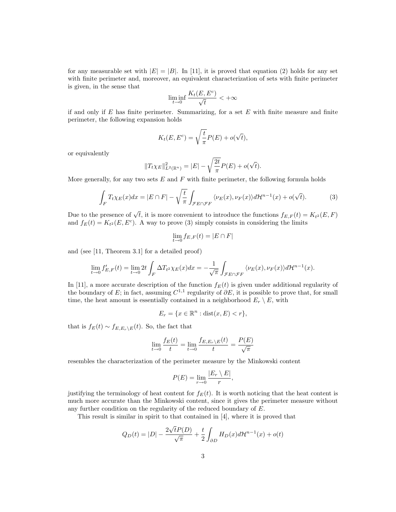for any measurable set with  $|E| = |B|$ . In [11], it is proved that equation (2) holds for any set with finite perimeter and, moreover, an equivalent characterization of sets with finite perimeter is given, in the sense that

$$
\liminf_{t\to 0}\frac{K_t(E,E^c)}{\sqrt{t}}<+\infty
$$

if and only if  $E$  has finite perimeter. Summarizing, for a set  $E$  with finite measure and finite perimeter, the following expansion holds

$$
K_t(E, E^c) = \sqrt{\frac{t}{\pi}} P(E) + o(\sqrt{t}),
$$

or equivalently

$$
||T_t \chi_E||_{L^2(\mathbb{R}^n)}^2 = |E| - \sqrt{\frac{2t}{\pi}} P(E) + o(\sqrt{t}).
$$

More generally, for any two sets  $E$  and  $F$  with finite perimeter, the following formula holds

$$
\int_{F} T_{t} \chi_{E}(x) dx = |E \cap F| - \sqrt{\frac{t}{\pi}} \int_{\mathcal{F}E \cap \mathcal{F}F} \langle \nu_{E}(x), \nu_{F}(x) \rangle d\mathcal{H}^{n-1}(x) + o(\sqrt{t}). \tag{3}
$$

Due to the presence of  $\sqrt{t}$ , it is more convenient to introduce the functions  $f_{E,F}(t) = K_{t^2}(E, F)$ and  $f_E(t) = K_{t^2}(E, E^c)$ . A way to prove (3) simply consists in considering the limits

$$
\lim_{t \to 0} f_{E,F}(t) = |E \cap F|
$$

and (see [11, Theorem 3.1] for a detailed proof)

$$
\lim_{t \to 0} f'_{E,F}(t) = \lim_{t \to 0} 2t \int_F \Delta T_t \alpha \chi_E(x) dx = -\frac{1}{\sqrt{\pi}} \int_{\mathcal{F}E \cap \mathcal{F}F} \langle \nu_E(x), \nu_F(x) \rangle d\mathcal{H}^{n-1}(x).
$$

In [11], a more accurate description of the function  $f_E(t)$  is given under additional regularity of the boundary of E; in fact, assuming  $C^{1,1}$  regularity of  $\partial E$ , it is possible to prove that, for small time, the heat amount is essentially contained in a neighborhood  $E_r \setminus E$ , with

$$
E_r = \{ x \in \mathbb{R}^n : \text{dist}(x, E) < r \},
$$

that is  $f_E(t) \sim f_{E,E_r\setminus E}(t)$ . So, the fact that

$$
\lim_{t \to 0} \frac{f_E(t)}{t} = \lim_{t \to 0} \frac{f_{E, E_r \setminus E}(t)}{t} = \frac{P(E)}{\sqrt{\pi}}
$$

resembles the characterization of the perimeter measure by the Minkowski content

$$
P(E) = \lim_{r \to 0} \frac{|E_r \setminus E|}{r},
$$

justifying the terminology of heat content for  $f_E(t)$ . It is worth noticing that the heat content is much more accurate than the Minkowski content, since it gives the perimeter measure without any further condition on the regularity of the reduced boundary of E.

This result is similar in spirit to that contained in [4], where it is proved that

$$
Q_D(t) = |D| - \frac{2\sqrt{t}P(D)}{\sqrt{\pi}} + \frac{t}{2} \int_{\partial D} H_D(x) d\mathcal{H}^{n-1}(x) + o(t)
$$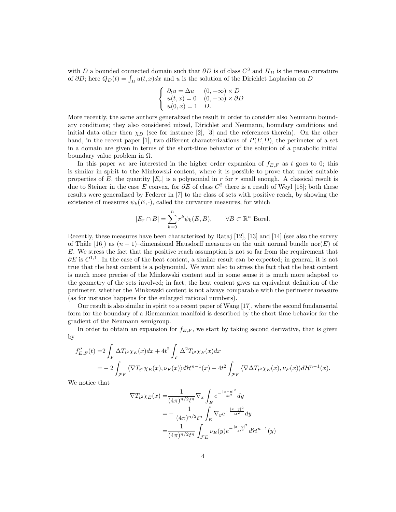with D a bounded connected domain such that  $\partial D$  is of class  $C^3$  and  $H_D$  is the mean curvature of  $\partial D$ ; here  $Q_D(t) = \int_D u(t, x)dx$  and u is the solution of the Dirichlet Laplacian on D

$$
\begin{cases} \n\partial_t u = \Delta u & (0, +\infty) \times D \\ \nu(t, x) = 0 & (0, +\infty) \times \partial D \\ \nu(0, x) = 1 & D. \n\end{cases}
$$

More recently, the same authors generalized the result in order to consider also Neumann boundary conditions; they also considered mixed, Dirichlet and Neumann, boundary conditions and initial data other then  $\chi_D$  (see for instance [2], [3] and the references therein). On the other hand, in the recent paper [1], two different characterizations of  $P(E, \Omega)$ , the perimeter of a set in a domain are given in terms of the short-time behavior of the solution of a parabolic initial boundary value problem in  $\Omega$ .

In this paper we are interested in the higher order expansion of  $f_{E,F}$  as t goes to 0; this is similar in spirit to the Minkowski content, where it is possible to prove that under suitable properties of E, the quantity  $|E_r|$  is a polynomial in r for r small enough. A classical result is due to Steiner in the case E convex, for  $\partial E$  of class  $C^2$  there is a result of Weyl [18]; both these results were generalized by Federer in [7] to the class of sets with positive reach, by showing the existence of measures  $\psi_k(E, \cdot)$ , called the curvature measures, for which

$$
|E_r \cap B| = \sum_{k=0}^n r^k \psi_k(E, B), \qquad \forall B \subset \mathbb{R}^n \text{ Borel.}
$$

Recently, these measures have been characterized by Rataj [12], [13] and [14] (see also the survey of Thäle [16]) as  $(n-1)$ –dimensional Hausdorff measures on the unit normal bundle nor $(E)$  of E. We stress the fact that the positive reach assumption is not so far from the requirement that  $\partial E$  is  $C^{1,1}$ . In the case of the heat content, a similar result can be expected; in general, it is not true that the heat content is a polynomial. We want also to stress the fact that the heat content is much more precise of the Minkowski content and in some sense it is much more adapted to the geometry of the sets involved; in fact, the heat content gives an equivalent definition of the perimeter, whether the Minkowski content is not always comparable with the perimeter measure (as for instance happens for the enlarged rational numbers).

Our result is also similar in spirit to a recent paper of Wang [17], where the second fundamental form for the boundary of a Riemannian manifold is described by the short time behavior for the gradient of the Neumann semigroup.

In order to obtain an expansion for  $f_{E,F}$ , we start by taking second derivative, that is given by

$$
f''_{E,F}(t) = 2 \int_F \Delta T_{t^2} \chi_E(x) dx + 4t^2 \int_F \Delta^2 T_{t^2} \chi_E(x) dx
$$
  
= 
$$
-2 \int_{\mathcal{F}F} \langle \nabla T_{t^2} \chi_E(x), \nu_F(x) \rangle d\mathcal{H}^{n-1}(x) - 4t^2 \int_{\mathcal{F}F} \langle \nabla \Delta T_{t^2} \chi_E(x), \nu_F(x) \rangle d\mathcal{H}^{n-1}(x).
$$

We notice that

$$
\nabla T_{t^2} \chi_E(x) = \frac{1}{(4\pi)^{n/2} t^n} \nabla_x \int_E e^{-\frac{|x-y|^2}{4t^2}} dy
$$
  
=  $-\frac{1}{(4\pi)^{n/2} t^n} \int_E \nabla_y e^{-\frac{|x-y|^2}{4t^2}} dy$   
=  $\frac{1}{(4\pi)^{n/2} t^n} \int_{\mathcal{F}E} \nu_E(y) e^{-\frac{|x-y|^2}{4t^2}} d\mathcal{H}^{n-1}(y)$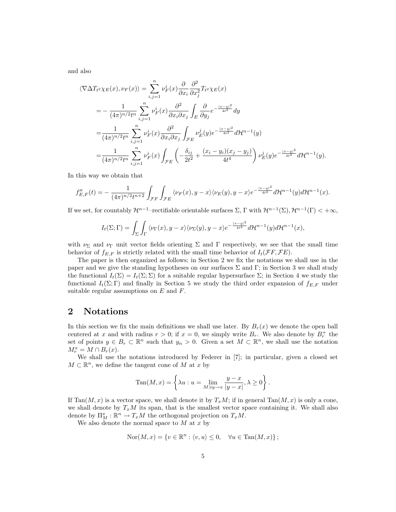and also

$$
\langle \nabla \Delta T_{t^2} \chi_E(x), \nu_F(x) \rangle = \sum_{i,j=1}^n \nu_F^i(x) \frac{\partial}{\partial x_i} \frac{\partial^2}{\partial x_j^2} T_{t^2} \chi_E(x)
$$
  
\n
$$
= -\frac{1}{(4\pi)^{n/2} t^n} \sum_{i,j=1}^n \nu_F^i(x) \frac{\partial^2}{\partial x_i \partial x_j} \int_E \frac{\partial}{\partial y_j} e^{-\frac{|x-y|^2}{4t^2}} dy
$$
  
\n
$$
= \frac{1}{(4\pi)^{n/2} t^n} \sum_{i,j=1}^n \nu_F^i(x) \frac{\partial^2}{\partial x_i \partial x_j} \int_{\mathcal{F}E} \nu_E^j(y) e^{-\frac{|x-y|^2}{4t^2}} d\mathcal{H}^{n-1}(y)
$$
  
\n
$$
= \frac{1}{(4\pi)^{n/2} t^n} \sum_{i,j=1}^n \nu_F^i(x) \int_{\mathcal{F}E} \left( -\frac{\delta_{ij}}{2t^2} + \frac{(x_i - y_i)(x_j - y_j)}{4t^4} \right) \nu_E^j(y) e^{-\frac{|x-y|^2}{4t^2}} d\mathcal{H}^{n-1}(y).
$$

In this way we obtain that

$$
f''_{E,F}(t) = -\frac{1}{(4\pi)^{n/2}t^{n+2}} \int_{\mathcal{F}F} \int_{\mathcal{F}E} \langle \nu_F(x), y - x \rangle \langle \nu_E(y), y - x \rangle e^{-\frac{|x - y|^2}{4t^2}} d\mathcal{H}^{n-1}(y) d\mathcal{H}^{n-1}(x).
$$

If we set, for countably  $\mathcal{H}^{n-1}$ -rectifiable orientable surfaces  $\Sigma$ ,  $\Gamma$  with  $\mathcal{H}^{n-1}(\Sigma)$ ,  $\mathcal{H}^{n-1}(\Gamma) < +\infty$ ,

$$
I_t(\Sigma;\Gamma)=\int_{\Sigma}\int_{\Gamma}\langle\nu_{\Gamma}(x),y-x\rangle\langle\nu_{\Sigma}(y),y-x\rangle e^{-\frac{|x-y|^2}{4t^2}}d\mathcal{H}^{n-1}(y)d\mathcal{H}^{n-1}(x),
$$

with  $\nu_{\Sigma}$  and  $\nu_{\Gamma}$  unit vector fields orienting  $\Sigma$  and  $\Gamma$  respectively, we see that the small time behavior of  $f_{E,F}$  is strictly related with the small time behavior of  $I_t(\mathcal{F}F, \mathcal{F}E)$ .

The paper is then organized as follows; in Section 2 we fix the notations we shall use in the paper and we give the standing hypotheses on our surfaces  $\Sigma$  and  $\Gamma$ ; in Section 3 we shall study the functional  $I_t(\Sigma) = I_t(\Sigma; \Sigma)$  for a suitable regular hypersurface  $\Sigma$ ; in Section 4 we study the functional  $I_t(\Sigma; \Gamma)$  and finally in Section 5 we study the third order expansion of  $f_{E,F}$  under suitable regular assumptions on  $E$  and  $F$ .

## 2 Notations

In this section we fix the main definitions we shall use later. By  $B_r(x)$  we denote the open ball centered at x and with radius  $r > 0$ ; if  $x = 0$ , we simply write  $B_r$ . We also denote by  $B_r^+$  the set of points  $y \in B_r \subset \mathbb{R}^n$  such that  $y_n > 0$ . Given a set  $M \subset \mathbb{R}^n$ , we shall use the notation  $M_r^x = M \cap B_r(x)$ .

We shall use the notations introduced by Federer in [7]; in particular, given a closed set  $M \subset \mathbb{R}^n$ , we define the tangent cone of M at x by

$$
Tan(M, x) = \left\{ \lambda u : u = \lim_{M \ni y \to x} \frac{y - x}{|y - x|}, \lambda \ge 0 \right\}.
$$

If  $\text{Tan}(M, x)$  is a vector space, we shall denote it by  $T_xM$ ; if in general  $\text{Tan}(M, x)$  is only a cone, we shall denote by  $T_xM$  its span, that is the smallest vector space containing it. We shall also denote by  $\Pi_M^x : \mathbb{R}^n \to T_xM$  the orthogonal projection on  $T_xM$ .

We also denote the normal space to  $M$  at  $x$  by

$$
Nor(M, x) = \{v \in \mathbb{R}^n : \langle v, u \rangle \le 0, \quad \forall u \in Tan(M, x)\};
$$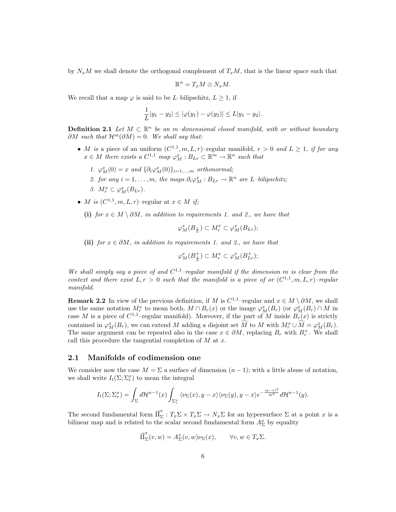by  $N_xM$  we shall denote the orthogonal complement of  $T_xM$ , that is the linear space such that

$$
\mathbb{R}^n = T_x M \otimes N_x M.
$$

We recall that a map  $\varphi$  is said to be *L*–bilipschitz,  $L \geq 1$ , if

$$
\frac{1}{L}|y_1 - y_2| \le |\varphi(y_1) - \varphi(y_2)| \le L|y_1 - y_2|.
$$

**Definition 2.1** Let  $M \subset \mathbb{R}^n$  be an m-dimensional closed manifold, with or without boundary  $\partial M$  such that  $\mathcal{H}^m(\partial M) = 0$ . We shall say that:

- M is a piece of an uniform  $(C^{1,1}, m, L, r)$ -regular manifold,  $r > 0$  and  $L \geq 1$ , if for any  $x \in M$  there exists a  $C^{1,1}$  map  $\varphi_M^x : B_{Lr} \subset \mathbb{R}^m \to \mathbb{R}^n$  such that
	- 1.  $\varphi_M^x(0) = x$  and  $\{\partial_i \varphi_M^x(0)\}_{i=1,\dots,m}$  orthonormal;
	- 2. for any  $i = 1, ..., m$ , the maps  $\partial_i \varphi_M^x : B_{Lr} \to \mathbb{R}^n$  are L-bilipschitz;
	- 3.  $M_r^x \subset \varphi_M^x(B_{Lr}).$
- M is  $(C^{1,1}, m, L, r)$ -regular at  $x \in M$  if;
	- (i) for  $x \in M \setminus \partial M$ , in addition to requirements 1. and 2., we have that

$$
\varphi_M^x(B_{\frac{r}{L}}) \subset M_r^x \subset \varphi_M^x(B_{Lr});
$$

(ii) for  $x \in \partial M$ , in addition to requirements 1. and 2., we have that

$$
\varphi_M^x(B_\frac{r}{L}^+)\subset M_r^x\subset \varphi_M^x(B_{Lr}^+);
$$

We shall simply say a piece of and  $C^{1,1}$ -regular manifold if the dimension m is clear from the context and there exist  $L, r > 0$  such that the manifold is a piece of or  $(C^{1,1}, m, L, r)$ -regular manifold.

**Remark 2.2** In view of the previous definition, if M is  $C^{1,1}$ -regular and  $x \in M \setminus \partial M$ , we shall use the same notation  $M_r^x$  to mean both,  $M \cap B_r(x)$  or the image  $\varphi_M^x(B_r)$  (or  $\varphi_M^x(B_r) \cap M$  in case M is a piece of  $C^{1,1}$ -regular manifold). Moreover, if the part of M inside  $B_r(x)$  is strictly contained in  $\varphi_M^x(B_r)$ , we can extend M adding a disjoint set M to M with  $M_r^x \cup M = \varphi_M^x(B_r)$ . The same argument can be repeated also in the case  $x \in \partial M$ , replacing  $B_r$  with  $B_r^+$ . We shall call this procedure the tangential completion of  $M$  at  $x$ .

### 2.1 Manifolds of codimension one

We consider now the case  $M = \Sigma$  a surface of dimension  $(n-1)$ ; with a little abuse of notation, we shall write  $I_t(\Sigma; \Sigma_r^x)$  to mean the integral

$$
I_t(\Sigma;\Sigma_r^x) = \int_{\Sigma} d\mathcal{H}^{n-1}(x) \int_{\Sigma_r^x} \langle \nu_{\Sigma}(x), y - x \rangle \langle \nu_{\Sigma}(y), y - x \rangle e^{-\frac{|y - x|^2}{4t^2}} d\mathcal{H}^{n-1}(y).
$$

The second fundamental form  $\vec{\Pi}_{\Sigma}^x : T_x \Sigma \times T_x \Sigma \to N_x \Sigma$  for an hypersurface  $\Sigma$  at a point x is a bilinear map and is related to the scalar second fundamental form  $A_{\Sigma}^{x}$  by equality

$$
\vec{\Pi}_{\Sigma}^x(v,w) = A_{\Sigma}^x(v,w)\nu_{\Sigma}(x), \qquad \forall v, w \in T_x\Sigma.
$$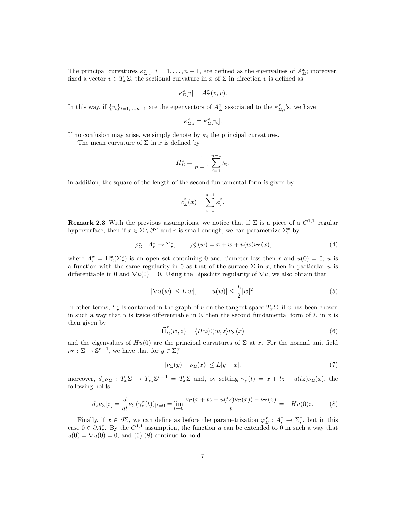The principal curvatures  $\kappa_{\Sigma,i}^x$ ,  $i=1,\ldots,n-1$ , are defined as the eigenvalues of  $A_{\Sigma}^x$ ; moreover, fixed a vector  $v \in T_x\Sigma$ , the sectional curvature in x of  $\Sigma$  in direction v is defined as

$$
\kappa_{\Sigma}^x[v] = A_{\Sigma}^x(v,v).
$$

In this way, if  $\{v_i\}_{i=1,\dots,n-1}$  are the eigenvectors of  $A_{\Sigma}^x$  associated to the  $\kappa_{\Sigma,i}^x$ 's, we have

$$
\kappa_{\Sigma,i}^x = \kappa_{\Sigma}^x[v_i].
$$

If no confusion may arise, we simply denote by  $\kappa_i$  the principal curvatures.

The mean curvature of  $\Sigma$  in x is defined by

$$
H_{\Sigma}^{x} = \frac{1}{n-1} \sum_{i=1}^{n-1} \kappa_{i};
$$

in addition, the square of the length of the second fundamental form is given by

$$
c_{\Sigma}^{2}(x) = \sum_{i=1}^{n-1} \kappa_{i}^{2}.
$$

**Remark 2.3** With the previous assumptions, we notice that if  $\Sigma$  is a piece of a  $C^{1,1}$ -regular hypersurface, then if  $x \in \Sigma \setminus \partial \Sigma$  and r is small enough, we can parametrize  $\Sigma_r^x$  by

$$
\varphi_{\Sigma}^{x} : A_{r}^{x} \to \Sigma_{r}^{x}, \qquad \varphi_{\Sigma}^{x}(w) = x + w + u(w)\nu_{\Sigma}(x), \tag{4}
$$

where  $A_r^x = \Pi_{\Sigma}^x(\Sigma_r^x)$  is an open set containing 0 and diameter less then r and  $u(0) = 0$ ; u is a function with the same regularity in 0 as that of the surface  $\Sigma$  in x, then in particular u is differentiable in 0 and  $\nabla u(0) = 0$ . Using the Lipschitz regularity of  $\nabla u$ , we also obtain that

$$
|\nabla u(w)| \le L|w|, \qquad |u(w)| \le \frac{L}{2}|w|^2. \tag{5}
$$

In other terms,  $\Sigma_r^x$  is contained in the graph of u on the tangent space  $T_x\Sigma$ ; if x has been chosen in such a way that u is twice differentiable in 0, then the second fundamental form of  $\Sigma$  in x is then given by

$$
\vec{\Pi}_{\Sigma}^{x}(w,z) = \langle Hu(0)w, z \rangle \nu_{\Sigma}(x) \tag{6}
$$

and the eigenvalues of  $Hu(0)$  are the principal curvatures of  $\Sigma$  at x. For the normal unit field  $\nu_{\Sigma}: \Sigma \to \mathbb{S}^{n-1}$ , we have that for  $y \in \Sigma_r^x$ 

$$
|\nu_{\Sigma}(y) - \nu_{\Sigma}(x)| \le L|y - x|; \tag{7}
$$

moreover,  $d_x \nu_{\Sigma} : T_x \Sigma \to T_{\nu_x} \mathbb{S}^{n-1} = T_x \Sigma$  and, by setting  $\gamma_z^x(t) = x + tz + u(tz)\nu_{\Sigma}(x)$ , the following holds

$$
d_x \nu_{\Sigma}[z] = \frac{d}{dt} \nu_{\Sigma}(\gamma_z^x(t))_{|t=0} = \lim_{t \to 0} \frac{\nu_{\Sigma}(x + tz + u(tz)\nu_{\Sigma}(x)) - \nu_{\Sigma}(x)}{t} = -Hu(0)z.
$$
 (8)

Finally, if  $x \in \partial \Sigma$ , we can define as before the parametrization  $\varphi_{\Sigma}^x : A_r^x \to \Sigma_r^x$ , but in this case  $0 \in \partial A_r^x$ . By the  $C^{1,1}$  assumption, the function u can be extended to 0 in such a way that  $u(0) = \nabla u(0) = 0$ , and (5)-(8) continue to hold.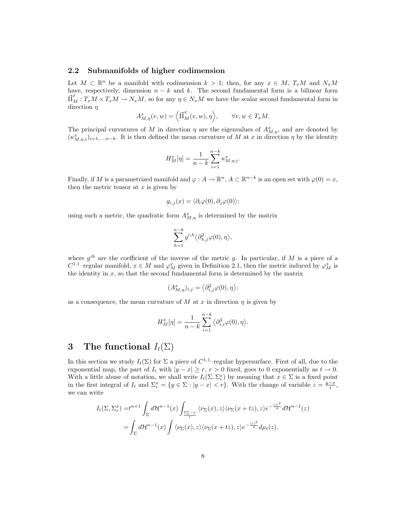### 2.2 Submanifolds of higher codimension

Let  $M \subset \mathbb{R}^n$  be a manifold with codimension  $k > 1$ ; then, for any  $x \in M$ ,  $T_xM$  and  $N_xM$ have, respectively, dimension  $n - k$  and k. The second fundamental form is a bilinear form  $\vec{\Pi}_{M}^{x}: T_{x}M \times T_{x}M \to N_{x}M$ , so for any  $\eta \in N_{x}M$  we have the scalar second fundamental form in direction  $\eta$ 

$$
A_{M,\eta}^x(v,w) = \left\langle \vec{\Pi}_M^x(v,w), \eta \right\rangle, \qquad \forall v, w \in T_xM.
$$

The principal curvatures of M in direction  $\eta$  are the eigenvalues of  $A_{M,\eta}^x$ , and are denoted by  $(\kappa_{M,\eta,i}^x)_{i=1,\dots,n-k}$ . It is then defined the mean curvature of M at x in direction  $\eta$  by the identity

$$
H_M^x[\eta] = \frac{1}{n-k} \sum_{i=1}^{n-k} \kappa_{M,\eta,i}^x.
$$

Finally, if M is a parametrized manifold and  $\varphi: A \to \mathbb{R}^n$ ,  $A \subset \mathbb{R}^{n-k}$  is an open set with  $\varphi(0) = x$ , then the metric tensor at  $x$  is given by

$$
g_{i,j}(x) = \langle \partial_i \varphi(0), \partial_j \varphi(0) \rangle;
$$

using such a metric, the quadratic form  $A_{M,\eta}^x$  is determined by the matrix

$$
\sum_{h=1}^{n-k} g^{i,h} \langle \partial_{h,j}^2 \varphi(0), \eta \rangle,
$$

where  $g^{ih}$  are the coefficient of the inverse of the metric g. In particular, if M is a piece of a  $C^{1,1}$ -regular manifold,  $x \in M$  and  $\varphi_M^x$  given in Definition 2.1, then the metric induced by  $\varphi_M^x$  is the identity in  $x$ , so that the second fundamental form is determined by the matrix

$$
(A_{M,\eta}^x)_{i,j}=\big\langle \partial_{i,j}^2\varphi(0),\eta\big\rangle;
$$

as a consequence, the mean curvature of M at x in direction  $\eta$  is given by

$$
H_M^x[\eta] = \frac{1}{n-k} \sum_{i=1}^{n-k} \langle \partial_{i,i}^2 \varphi(0), \eta \rangle.
$$

## 3 The functional  $I_t(\Sigma)$

In this section we study  $I_t(\Sigma)$  for  $\Sigma$  a piece of  $C^{1,1}$ -regular hypersurface. First of all, due to the exponential map, the part of  $I_t$  with  $|y - x| \ge r$ ,  $r > 0$  fixed, goes to 0 exponentially as  $t \to 0$ . With a little abuse of notation, we shall write  $I_t(\Sigma, \Sigma_r^x)$  by meaning that  $x \in \Sigma$  is a fixed point in the first integral of  $I_t$  and  $\Sigma_r^x = \{y \in \Sigma : |y - x| < r\}$ . With the change of variable  $z = \frac{y - x}{t}$ , we can write

$$
I_t(\Sigma, \Sigma_r^x) = t^{n+1} \int_{\Sigma} d\mathcal{H}^{n-1}(x) \int_{\frac{\Sigma_r^x - x}{t}} \langle \nu_{\Sigma}(x), z \rangle \langle \nu_{\Sigma}(x + tz), z \rangle e^{-\frac{|z|^2}{4}} d\mathcal{H}^{n-1}(z)
$$
  
= 
$$
\int_{\Sigma} d\mathcal{H}^{n-1}(x) \int \langle \nu_{\Sigma}(x), z \rangle \langle \nu_{\Sigma}(x + tz), z \rangle e^{-\frac{|z|^2}{4}} d\mu_t(z).
$$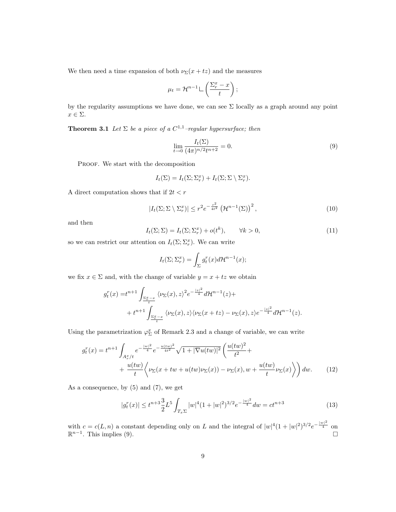We then need a time expansion of both  $\nu_{\Sigma}(x+tz)$  and the measures

$$
\mu_t = \mathcal{H}^{n-1} \sqcup \left( \frac{\Sigma_r^x - x}{t} \right);
$$

by the regularity assumptions we have done, we can see  $\Sigma$  locally as a graph around any point  $x \in \Sigma$ .

**Theorem 3.1** Let  $\Sigma$  be a piece of a  $C^{1,1}$ -regular hypersurface; then

$$
\lim_{t \to 0} \frac{I_t(\Sigma)}{(4\pi)^{n/2} t^{n+2}} = 0.
$$
\n(9)

PROOF. We start with the decomposition

$$
I_t(\Sigma) = I_t(\Sigma; \Sigma_r^x) + I_t(\Sigma; \Sigma \setminus \Sigma_r^x).
$$

A direct computation shows that if  $2t < r$ 

$$
|I_t(\Sigma;\Sigma\setminus\Sigma_r^x)| \le r^2 e^{-\frac{r^2}{4t^2}} \left(\mathcal{H}^{n-1}(\Sigma)\right)^2,\tag{10}
$$

and then

$$
I_t(\Sigma; \Sigma) = I_t(\Sigma; \Sigma_r^x) + o(t^k), \qquad \forall k > 0,
$$
\n
$$
(11)
$$

so we can restrict our attention on  $I_t(\Sigma; \Sigma_r^x)$ . We can write

$$
I_t(\Sigma; \Sigma_r^x) = \int_{\Sigma} g_t^r(x) d\mathcal{H}^{n-1}(x);
$$

we fix  $x \in \Sigma$  and, with the change of variable  $y = x + tz$  we obtain

$$
g_t^r(x) = t^{n+1} \int_{\frac{\Sigma_r^x - x}{t}} \langle \nu_\Sigma(x), z \rangle^2 e^{-\frac{|z|^2}{4}} d\mathcal{H}^{n-1}(z) +
$$
  
+ 
$$
t^{n+1} \int_{\frac{\Sigma_r^x - x}{t}} \langle \nu_\Sigma(x), z \rangle \langle \nu_\Sigma(x + tz) - \nu_\Sigma(x), z \rangle e^{-\frac{|z|^2}{4}} d\mathcal{H}^{n-1}(z).
$$

Using the parametrization  $\varphi_{\Sigma}^{x}$  of Remark 2.3 and a change of variable, we can write

$$
g_t^r(x) = t^{n+1} \int_{A_\tau^x/t} e^{-\frac{|w|^2}{4}} e^{-\frac{u(tw)^2}{4t^2}} \sqrt{1+|\nabla u(tw)|^2} \left(\frac{u(tw)^2}{t^2} + \frac{u(tw)}{t} \left(\frac{u(tw)}{t^2} + \frac{u(tw)}{t}\right) \left(\frac{u(tw)}{t^2} + \frac{u(tw)}{t}\right) \left(\frac{u(tw)}{t^2} + \frac{u(tw)}{t}\right) \sqrt{1+|\nabla u(tw)|^2} \sqrt{1+|\nabla u(tw)|^2} \sqrt{1+|\nabla u(tw)|^2} \sqrt{1+|\nabla u(tw)|^2} \sqrt{1+|\nabla u(tw)|^2} \sqrt{1+|\nabla u(tw)|^2} \sqrt{1+|\nabla u(tw)|^2} \sqrt{1+|\nabla u(tw)|^2} \sqrt{1+|\nabla u(tw)|^2} \sqrt{1+|\nabla u(tw)|^2} \sqrt{1+|\nabla u(tw)|^2} \sqrt{1+|\nabla u(tw)|^2} \sqrt{1+|\nabla u(tw)|^2} \sqrt{1+|\nabla u(tw)|^2} \sqrt{1+|\nabla u(tw)|^2} \sqrt{1+|\nabla u(tw)|^2} \sqrt{1+|\nabla u(tw)|^2} \sqrt{1+|\nabla u(tw)|^2} \sqrt{1+|\nabla u(tw)|^2} \sqrt{1+|\nabla u(tw)|^2} \sqrt{1+|\nabla u(tw)|^2} \sqrt{1+|\nabla u(tw)|^2} \sqrt{1+|\nabla u(tw)|^2} \sqrt{1+|\nabla u(tw)|^2} \sqrt{1+|\nabla u(tw)|^2} \sqrt{1+|\nabla u(tw)|^2} \sqrt{1+|\nabla u(tw)|^2} \sqrt{1+|\nabla u(tw)|^2} \sqrt{1+|\nabla u(tw)|^2} \sqrt{1+|\nabla u(tw)|^2} \sqrt{1+|\nabla u(tw)|^2} \sqrt{1+|\nabla u(tw)|^2} \sqrt{1+|\nabla u(tw)|^2} \sqrt{1+|\nabla u(tw)|^2} \sqrt{1+|\nabla u(tw)|^2} \sqrt{1+|\nabla u(tw)|^2} \sqrt{1+|\nabla u
$$

As a consequence, by (5) and (7), we get

$$
|g_t^r(x)| \le t^{n+3} \frac{3}{2} L^5 \int_{T_x \Sigma} |w|^4 (1+|w|^2)^{3/2} e^{-\frac{|w|^2}{4}} dw = ct^{n+3}
$$
 (13)

with  $c = c(L, n)$  a constant depending only on L and the integral of  $|w|^4(1+|w|^2)^{3/2}e^{-\frac{|w|^2}{4}}$  on  $\mathbb{R}^{n-1}$ . This implies  $(9)$ .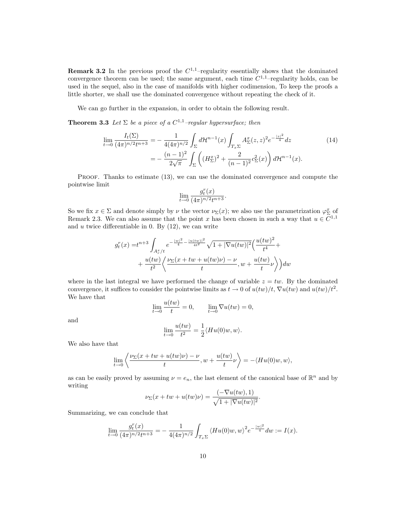**Remark 3.2** In the previous proof the  $C^{1,1}$ -regularity essentially shows that the dominated convergence theorem can be used; the same argument, each time  $C^{1,1}$ -regularity holds, can be used in the sequel, also in the case of manifolds with higher codimension, To keep the proofs a little shorter, we shall use the dominated convergence without repeating the check of it.

We can go further in the expansion, in order to obtain the following result.

**Theorem 3.3** Let  $\Sigma$  be a piece of a  $C^{1,1}$ -regular hypersurface; then

$$
\lim_{t \to 0} \frac{I_t(\Sigma)}{(4\pi)^{n/2} t^{n+3}} = -\frac{1}{4(4\pi)^{n/2}} \int_{\Sigma} d\mathcal{H}^{n-1}(x) \int_{T_x \Sigma} A_{\Sigma}^x(z, z)^2 e^{-\frac{|z|^2}{4}} dz
$$
\n
$$
= -\frac{(n-1)^2}{2\sqrt{\pi}} \int_{\Sigma} \left( (H_{\Sigma}^x)^2 + \frac{2}{(n-1)^2} c_{\Sigma}^2(x) \right) d\mathcal{H}^{n-1}(x).
$$
\n(14)

PROOF. Thanks to estimate (13), we can use the dominated convergence and compute the pointwise limit  $\lambda$ 

$$
\lim_{t \to 0} \frac{g_t^r(x)}{(4\pi)^{n/2}t^{n+3}}.
$$

So we fix  $x \in \Sigma$  and denote simply by  $\nu$  the vector  $\nu_{\Sigma}(x)$ ; we also use the parametrization  $\varphi_{\Sigma}^{x}$  of Remark 2.3. We can also assume that the point x has been chosen in such a way that  $u \in \overline{C}^{1,1}$ and  $u$  twice differentiable in 0. By  $(12)$ , we can write

$$
g_t^r(x) = t^{n+3} \int_{A_\tau^x/t} e^{-\frac{|w|^2}{4} - \frac{|u(tw)|^2}{4t^2}} \sqrt{1 + |\nabla u(tw)|^2} \left(\frac{u(tw)^2}{t^4} + \frac{u(tw)}{t^2} \left(\frac{\nu_{\Sigma}(x + tw + u(tw)\nu) - \nu}{t}, w + \frac{u(tw)}{t}\nu\right)\right) dw
$$

where in the last integral we have performed the change of variable  $z = tw$ . By the dominated convergence, it suffices to consider the pointwise limits as  $t \to 0$  of  $u(tw)/t$ ,  $\nabla u(tw)$  and  $u(tw)/t^2$ . We have that

$$
\lim_{t \to 0} \frac{u(tw)}{t} = 0, \qquad \lim_{t \to 0} \nabla u(tw) = 0,
$$

and

$$
\lim_{t\to 0}\frac{u(tw)}{t^2}=\frac{1}{2}\langle Hu(0)w,w\rangle.
$$

We also have that

$$
\lim_{t \to 0} \left\langle \frac{\nu_{\Sigma}(x+tw+u(tw)\nu) - \nu}{t}, w + \frac{u(tw)}{t} \nu \right\rangle = -\langle Hu(0)w, w \rangle,
$$

as can be easily proved by assuming  $\nu = e_n$ , the last element of the canonical base of  $\mathbb{R}^n$  and by writing

$$
\nu_{\Sigma}(x+tw+u(tw)\nu) = \frac{(-\nabla u(tw),1)}{\sqrt{1+|\nabla u(tw)|^2}}.
$$

Summarizing, we can conclude that

$$
\lim_{t \to 0} \frac{g_t^r(x)}{(4\pi)^{n/2}t^{n+3}} = -\frac{1}{4(4\pi)^{n/2}} \int_{T_x \Sigma} \langle Hu(0)w, w \rangle^2 e^{-\frac{|w|^2}{4}} dw := I(x).
$$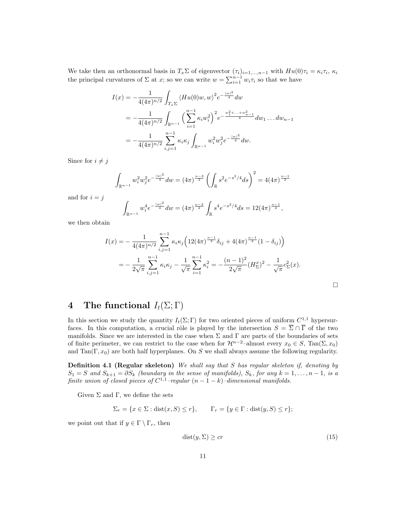We take then an orthonormal basis in  $T_x\Sigma$  of eigenvector  $(\tau_i)_{i=1,\dots,n-1}$  with  $Hu(0)\tau_i = \kappa_i \tau_i$ ,  $\kappa_i$ the principal curvatures of  $\Sigma$  at x; so we can write  $w = \sum_{i=1}^{n-1} w_i \tau_i$  so that we have

$$
I(x) = -\frac{1}{4(4\pi)^{n/2}} \int_{T_x\Sigma} \langle Hu(0)w, w \rangle^2 e^{-\frac{|w|^2}{4}} dw
$$
  
= 
$$
-\frac{1}{4(4\pi)^{n/2}} \int_{\mathbb{R}^{n-1}} \left(\sum_{i=1}^{n-1} \kappa_i w_i^2\right)^2 e^{-\frac{w_1^2 + \dots + w_{n-1}^2}{4}} dw_1 \dots dw_{n-1}
$$
  
= 
$$
-\frac{1}{4(4\pi)^{n/2}} \sum_{i,j=1}^{n-1} \kappa_i \kappa_j \int_{\mathbb{R}^{n-1}} w_i^2 w_j^2 e^{-\frac{|w|^2}{4}} dw.
$$

Since for  $i \neq j$ 

$$
\int_{\mathbb{R}^{n-1}} w_i^2 w_j^2 e^{-\frac{|w|^2}{4}} dw = (4\pi)^{\frac{n-3}{2}} \left( \int_{\mathbb{R}} s^2 e^{-s^2/4} ds \right)^2 = 4(4\pi)^{\frac{n-1}{2}}
$$

and for  $i = j$ 

$$
\int_{\mathbb{R}^{n-1}} w_i^4 e^{-\frac{|w|^2}{4}} dw = (4\pi)^{\frac{n-2}{2}} \int_{\mathbb{R}} s^4 e^{-s^2/4} ds = 12(4\pi)^{\frac{n-1}{2}},
$$

we then obtain

$$
I(x) = -\frac{1}{4(4\pi)^{n/2}} \sum_{i,j=1}^{n-1} \kappa_i \kappa_j \left( 12(4\pi)^{\frac{n-1}{2}} \delta_{ij} + 4(4\pi)^{\frac{n-1}{2}} (1 - \delta_{ij}) \right)
$$
  
= 
$$
-\frac{1}{2\sqrt{\pi}} \sum_{i,j=1}^{n-1} \kappa_i \kappa_j - \frac{1}{\sqrt{\pi}} \sum_{i=1}^{n-1} \kappa_i^2 = -\frac{(n-1)^2}{2\sqrt{\pi}} (H_{\Sigma}^x)^2 - \frac{1}{\sqrt{\pi}} c_{\Sigma}^2(x).
$$

# 4 The functional  $I_t(\Sigma; \Gamma)$

In this section we study the quantity  $I_t(\Sigma; \Gamma)$  for two oriented pieces of uniform  $C^{1,1}$  hypersurfaces. In this computation, a crucial rôle is played by the intersection  $S = \overline{\Sigma} \cap \overline{\Gamma}$  of the two manifolds. Since we are interested in the case when  $\Sigma$  and  $\Gamma$  are parts of the boundaries of sets of finite perimeter, we can restrict to the case when for  $\mathcal{H}^{n-2}$ –almost every  $x_0 \in S$ , Tan( $\Sigma$ ,  $x_0$ ) and Tan( $\Gamma, x_0$ ) are both half hyperplanes. On S we shall always assume the following regularity.

Definition 4.1 (Regular skeleton) We shall say that S has regular skeleton if, denoting by  $S_1 = S$  and  $S_{k+1} = \partial S_k$  (boundary in the sense of manifolds),  $S_k$ , for any  $k = 1, \ldots, n-1$ , is a finite union of closed pieces of  $C^{1,1}$ -regular  $(n-1-k)$ -dimensional manifolds.

Given  $\Sigma$  and  $\Gamma$ , we define the sets

$$
\Sigma_r = \{ x \in \Sigma : \text{dist}(x, S) \le r \}, \qquad \Gamma_r = \{ y \in \Gamma : \text{dist}(y, S) \le r \};
$$

we point out that if  $y \in \Gamma \setminus \Gamma_r$ , then

$$
dist(y, \Sigma) \ge cr \tag{15}
$$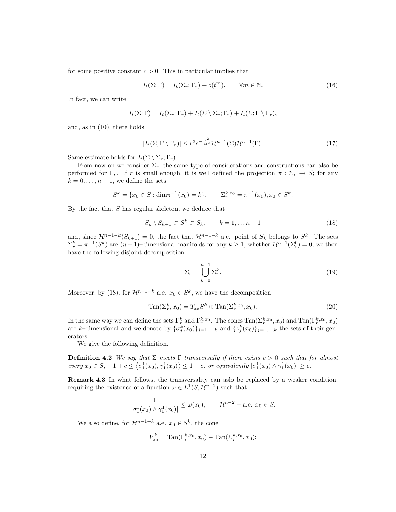for some positive constant  $c > 0$ . This in particular implies that

$$
I_t(\Sigma; \Gamma) = I_t(\Sigma_r; \Gamma_r) + o(t^m), \qquad \forall m \in \mathbb{N}.
$$
 (16)

In fact, we can write

$$
I_t(\Sigma;\Gamma) = I_t(\Sigma_r;\Gamma_r) + I_t(\Sigma \setminus \Sigma_r;\Gamma_r) + I_t(\Sigma;\Gamma \setminus \Gamma_r),
$$

and, as in (10), there holds

$$
|I_t(\Sigma;\Gamma\setminus\Gamma_r)|\leq r^2e^{-\frac{r^2}{4t^2}}\mathcal{H}^{n-1}(\Sigma)\mathcal{H}^{n-1}(\Gamma).
$$
 (17)

Same estimate holds for  $I_t(\Sigma \setminus \Sigma_r; \Gamma_r)$ .

From now on we consider  $\Sigma_r$ ; the same type of considerations and constructions can also be performed for  $\Gamma_r$ . If r is small enough, it is well defined the projection  $\pi : \Sigma_r \to S$ ; for any  $k = 0, \ldots, n - 1$ , we define the sets

$$
S^k = \{x_0 \in S : \dim \pi^{-1}(x_0) = k\}, \qquad \Sigma_r^{k, x_0} = \pi^{-1}(x_0), x_0 \in S^k.
$$

By the fact that  $S$  has regular skeleton, we deduce that

$$
S_k \setminus S_{k+1} \subset S^k \subset S_k, \qquad k = 1, \dots n-1 \tag{18}
$$

and, since  $\mathcal{H}^{n-1-k}(S_{k+1})=0$ , the fact that  $\mathcal{H}^{n-1-k}$  a.e. point of  $S_k$  belongs to  $S^k$ . The sets  $\Sigma_r^k = \pi^{-1}(S^k)$  are  $(n-1)$ -dimensional manifolds for any  $k \ge 1$ , whether  $\mathcal{H}^{n-1}(\Sigma_r^0) = 0$ ; we then have the following disjoint decomposition

$$
\Sigma_r = \bigcup_{k=0}^{n-1} \Sigma_r^k.
$$
\n(19)

Moreover, by (18), for  $\mathcal{H}^{n-1-k}$  a.e.  $x_0 \in S^k$ , we have the decomposition

$$
\operatorname{Tan}(\Sigma_r^k, x_0) = T_{x_0} S^k \oplus \operatorname{Tan}(\Sigma_r^{k, x_0}, x_0). \tag{20}
$$

In the same way we can define the sets  $\Gamma_r^k$  and  $\Gamma_r^{k,x_0}$ . The cones  $\text{Tan}(\Sigma_r^{k,x_0}, x_0)$  and  $\text{Tan}(\Gamma_r^{k,x_0}, x_0)$ are k-dimensional and we denote by  $\{\sigma_j^k(x_0)\}_{j=1,\dots,k}$  and  $\{\gamma_j^k(x_0)\}_{j=1,\dots,k}$  the sets of their generators.

We give the following definition.

**Definition 4.2** We say that  $\Sigma$  meets  $\Gamma$  transversally if there exists  $c > 0$  such that for almost every  $x_0 \in S$ ,  $-1 + c \leq \langle \sigma_1^1(x_0), \gamma_1^1(x_0) \rangle \leq 1 - c$ , or equivalently  $|\sigma_1^1(x_0) \wedge \gamma_1^1(x_0)| \geq c$ .

Remark 4.3 In what follows, the transversality can aslo be replaced by a weaker condition, requiring the existence of a function  $\omega \in L^1(S, \mathcal{H}^{n-2})$  such that

$$
\frac{1}{|\sigma_1^1(x_0) \wedge \gamma_1^1(x_0)|} \le \omega(x_0), \qquad \mathcal{H}^{n-2} - \text{a.e. } x_0 \in S.
$$

We also define, for  $\mathcal{H}^{n-1-k}$  a.e.  $x_0 \in S^k$ , the cone

$$
V_{x_0}^k = \text{Tan}(\Gamma_r^{k, x_0}, x_0) - \text{Tan}(\Sigma_r^{k, x_0}, x_0);
$$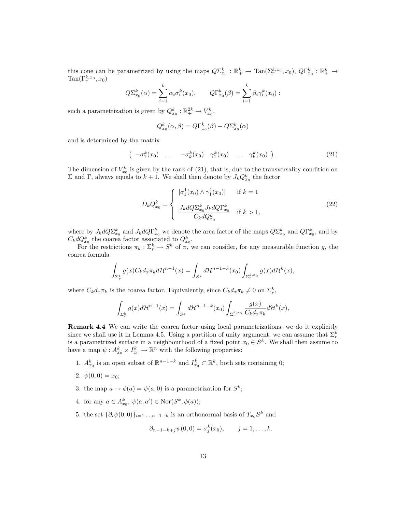this cone can be parametrized by using the maps  $Q\Sigma_{x_0}^k : \mathbb{R}_+^k \to \text{Tan}(\Sigma_r^{k,x_0}, x_0), Q\Gamma_{x_0}^k : \mathbb{R}_+^k \to$  $\text{Tan}(\Gamma_r^{k,x_0},x_0)$ 

$$
Q\Sigma_{x_0}^k(\alpha) = \sum_{i=1}^k \alpha_i \sigma_i^k(x_0), \qquad Q\Gamma_{x_0}^k(\beta) = \sum_{i=1}^k \beta_i \gamma_i^k(x_0) :
$$

such a parametrization is given by  $Q_{x_0}^k : \mathbb{R}^{2k}_+ \to V_{x_0}^k$ ,

$$
Q_{x_0}^k(\alpha, \beta) = Q\Gamma_{x_0}^k(\beta) - Q\Sigma_{x_0}^k(\alpha)
$$

and is determined by tha matrix

$$
\left(\begin{array}{cccccc}-\sigma_1^k(x_0) & \dots & -\sigma_k^k(x_0) & \gamma_1^k(x_0) & \dots & \gamma_k^k(x_0)\end{array}\right). \tag{21}
$$

The dimension of  $V_{x_0}^k$  is given by the rank of (21), that is, due to the transversality condition on  $\Sigma$  and Γ, always equals to  $k+1$ . We shall then denote by  $J_kQ_{x_0}^k$  the factor

$$
D_k Q_{x_0}^k = \begin{cases} |\sigma_1^1(x_0) \wedge \gamma_1^1(x_0)| & \text{if } k = 1\\ \frac{J_k d Q \Sigma_{x_0}^k J_k d Q \Gamma_{x_0}^k}{C_k d Q_{x_0}^k} & \text{if } k > 1, \end{cases}
$$
(22)

where by  $J_k dQ \Sigma_{x_0}^k$  and  $J_k dQ \Gamma_{x_0}^k$  we denote the area factor of the maps  $Q \Sigma_{x_0}^k$  and  $Q \Gamma_{x_0}^k$ , and by  $C_k dQ_{x_0}^k$  the coarea factor associated to  $Q_{x_0}^k$ .

For the restrictions  $\pi_k : \Sigma_r^k \to S^k$  of  $\pi$ , we can consider, for any measurable function g, the coarea formula

$$
\int_{\Sigma_r^k} g(x) C_k d_x \pi_k d\mathcal{H}^{n-1}(x) = \int_{S^k} d\mathcal{H}^{n-1-k}(x_0) \int_{\Sigma_r^{k,x_0}} g(x) d\mathcal{H}^k(x),
$$

where  $C_k d_x \pi_k$  is the coarea factor. Equivalently, since  $C_k d_x \pi_k \neq 0$  on  $\Sigma_r^k$ ,

$$
\int_{\Sigma_r^k} g(x)d\mathcal{H}^{n-1}(x) = \int_{S^k} d\mathcal{H}^{n-1-k}(x_0) \int_{\Sigma_r^{k,x_0}} \frac{g(x)}{C_k d_x \pi_k} d\mathcal{H}^k(x),
$$

Remark 4.4 We can write the coarea factor using local parametrizations; we do it explicitly since we shall use it in Lemma 4.5. Using a partition of unity argument, we can assume that  $\Sigma_r^k$ is a parametrized surface in a neighbourhood of a fixed point  $x_0 \in S^k$ . We shall then assume to have a map  $\psi: A_{x_0}^k \times I_{x_0}^k \to \mathbb{R}^n$  with the following properties:

- 1.  $A_{x_0}^k$  is an open subset of  $\mathbb{R}^{n-1-k}$  and  $I_{x_0}^k \subset \mathbb{R}^k$ , both sets containing 0;
- 2.  $\psi(0,0) = x_0$ ;
- 3. the map  $a \mapsto \phi(a) = \psi(a, 0)$  is a parametrization for  $S^k$ ;
- 4. for any  $a \in A_{x_0}^k$ ,  $\psi(a, a') \in \text{Nor}(S^k, \phi(a))$ ;
- 5. the set  $\{\partial_i \psi(0,0)\}_{i=1,\dots,n-1-k}$  is an orthonormal basis of  $T_{x_0}S^k$  and

$$
\partial_{n-1-k+j}\psi(0,0)=\sigma_j^k(x_0), \qquad j=1,\ldots,k.
$$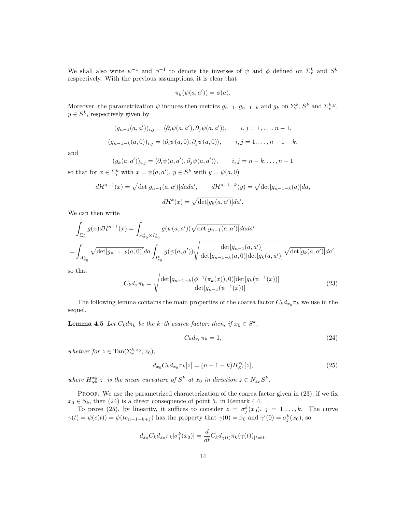We shall also write  $\psi^{-1}$  and  $\phi^{-1}$  to denote the inverses of  $\psi$  and  $\phi$  defined on  $\Sigma_r^k$  and  $S^k$ respectively. With the previous assumptions, it is clear that

$$
\pi_k(\psi(a, a')) = \phi(a).
$$

Moreover, the parametrization  $\psi$  induces then metrics  $g_{n-1}, g_{n-1-k}$  and  $g_k$  on  $\Sigma_r^k$ ,  $S^k$  and  $\Sigma_r^{k,y}$ ,  $y \in S^k$ , respectively given by

$$
(g_{n-1}(a,a'))_{i,j} = \langle \partial_i \psi(a,a'), \partial_j \psi(a,a') \rangle, \qquad i,j = 1,\ldots, n-1,
$$
  

$$
(g_{n-1-k}(a,0))_{i,j} = \langle \partial_i \psi(a,0), \partial_j \psi(a,0) \rangle, \qquad i,j = 1,\ldots, n-1-k,
$$

and

$$
(g_k(a,a'))_{i,j} = \langle \partial_i \psi(a,a'), \partial_j \psi(a,a') \rangle, \qquad i,j = n-k,\dots, n-1
$$

so that for  $x \in \Sigma_r^k$  with  $x = \psi(a, a'), y \in S^k$  with  $y = \psi(a, 0)$ 

$$
d\mathcal{H}^{n-1}(x) = \sqrt{\det[g_{n-1}(a, a')]dada'}, \qquad d\mathcal{H}^{n-1-k}(y) = \sqrt{\det[g_{n-1-k}(a)]da},
$$

$$
d\mathcal{H}^k(x) = \sqrt{\det[g_k(a, a')]da'}.
$$

We can then write

$$
\int_{\Sigma_{r}^{k}} g(x) d\mathcal{H}^{n-1}(x) = \int_{A_{x_0}^{k} \times I_{x_0}^{k}} g(\psi(a, a')) \sqrt{\det[g_{n-1}(a, a')] } dad'
$$
\n
$$
= \int_{A_{x_0}^{k}} \sqrt{\det[g_{n-1-k}(a, 0)]} da \int_{I_{x_0}^{k}} g(\psi(a, a')) \sqrt{\det[g_{n-1-k}(a, 0)]} \det[g_{k}(a, a')] \sqrt{\det[g_{k}(a, a')] } d a',
$$

so that

$$
C_k d_x \pi_k = \sqrt{\frac{\det[g_{n-1-k}(\phi^{-1}(\pi_k(x)), 0)] \det[g_k(\psi^{-1}(x))]}{\det[g_{n-1}(\psi^{-1}(x))]}}.
$$
\n(23)

The following lemma contains the main properties of the coarea factor  $C_k d_{x_0} \pi_k$  we use in the sequel.

**Lemma 4.5** Let  $C_k d\pi_k$  be the k-th coarea factor; then, if  $x_0 \in S^k$ ,

$$
C_k d_{x_0} \pi_k = 1,\t\t(24)
$$

whether for  $z \in \text{Tan}(\Sigma_r^{k,x_0}, x_0)$ ,

$$
d_{x_0} C_k d_{x_0} \pi_k[z] = (n - 1 - k) H_{S^k}^{x_0}[z],
$$
\n(25)

where  $H_{S^k}^{x_0}[z]$  is the mean curvature of  $S^k$  at  $x_0$  in direction  $z \in N_{x_0}S^k$ .

PROOF. We use the parametrized characterization of the coarea factor given in (23); if we fix  $x_0 \in S_k$ , then (24) is a direct consequence of point 5. in Remark 4.4.

To prove (25), by linearity, it suffices to consider  $z = \sigma_j^k(x_0)$ ,  $j = 1, \ldots, k$ . The curve  $\gamma(t) = \psi(c(t)) = \psi(te_{n-1-k+j})$  has the property that  $\gamma(0) = x_0$  and  $\gamma'(0) = \sigma_j^k(x_0)$ , so

$$
d_{x_0}C_k d_{x_0} \pi_k[\sigma_j^k(x_0)] = \frac{d}{dt}C_k d_{\gamma(t)} \pi_k(\gamma(t))_{|t=0}.
$$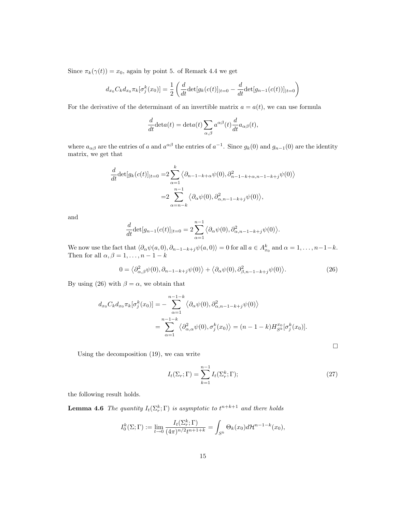Since  $\pi_k(\gamma(t)) = x_0$ , again by point 5. of Remark 4.4 we get

$$
d_{x_0} C_k d_{x_0} \pi_k[\sigma_j^k(x_0)] = \frac{1}{2} \left( \frac{d}{dt} \det[g_k(c(t)]_{|t=0} - \frac{d}{dt} \det[g_{n-1}(c(t))]_{|t=0} \right)
$$

For the derivative of the determinant of an invertible matrix  $a = a(t)$ , we can use formula

$$
\frac{d}{dt}\det a(t) = \det a(t) \sum_{\alpha,\beta} a^{\alpha\beta}(t) \frac{d}{dt} a_{\alpha\beta}(t),
$$

where  $a_{\alpha\beta}$  are the entries of a and  $a^{\alpha\beta}$  the entries of  $a^{-1}$ . Since  $g_k(0)$  and  $g_{n-1}(0)$  are the identity matrix, we get that

$$
\frac{d}{dt} \det[g_k(c(t)]_{|t=0} = 2 \sum_{\alpha=1}^k \langle \partial_{n-1-k+\alpha} \psi(0), \partial_{n-1-k+\alpha,n-1-k+j}^2 \psi(0) \rangle
$$

$$
= 2 \sum_{\alpha=n-k}^{n-1} \langle \partial_\alpha \psi(0), \partial_{\alpha,n-1-k+j}^2 \psi(0) \rangle,
$$

and

$$
\frac{d}{dt}\det[g_{n-1}(c(t)]_{|t=0} = 2\sum_{\alpha=1}^{n-1} \langle \partial_{\alpha}\psi(0), \partial_{\alpha,n-1-k+j}^{2}\psi(0) \rangle
$$

We now use the fact that  $\langle \partial_{\alpha} \psi(a,0), \partial_{n-1-k+j} \psi(a,0) \rangle = 0$  for all  $a \in A_{x_0}^k$  and  $\alpha = 1, \ldots, n-1-k$ . Then for all  $\alpha, \beta = 1, \ldots, n - 1 - k$ 

$$
0 = \langle \partial_{\alpha,\beta}^2 \psi(0), \partial_{n-1-k+j} \psi(0) \rangle + \langle \partial_{\alpha} \psi(0), \partial_{\beta,n-1-k+j}^2 \psi(0) \rangle.
$$
 (26)

By using (26) with  $\beta = \alpha$ , we obtain that

$$
d_{x_0}C_k d_{x_0} \pi_k[\sigma_j^k(x_0)] = -\sum_{\alpha=1}^{n-1-k} \langle \partial_\alpha \psi(0), \partial_{\alpha, n-1-k+j}^2 \psi(0) \rangle
$$
  
= 
$$
\sum_{\alpha=1}^{n-1-k} \langle \partial_{\alpha, \alpha}^2 \psi(0), \sigma_j^k(x_0) \rangle = (n-1-k) H_{S^k}^{x_0}[\sigma_j^k(x_0)].
$$

Using the decomposition (19), we can write

$$
I_t(\Sigma_r; \Gamma) = \sum_{k=1}^{n-1} I_t(\Sigma_r^k; \Gamma); \tag{27}
$$

.

 $\Box$ 

the following result holds.

**Lemma 4.6** The quantity  $I_t(\Sigma_r^k; \Gamma)$  is asymptotic to  $t^{n+k+1}$  and there holds

$$
I_0^k(\Sigma; \Gamma) := \lim_{t \to 0} \frac{I_t(\Sigma_r^k; \Gamma)}{(4\pi)^{n/2} t^{n+1+k}} = \int_{S^k} \Theta_k(x_0) d\mathcal{H}^{n-1-k}(x_0),
$$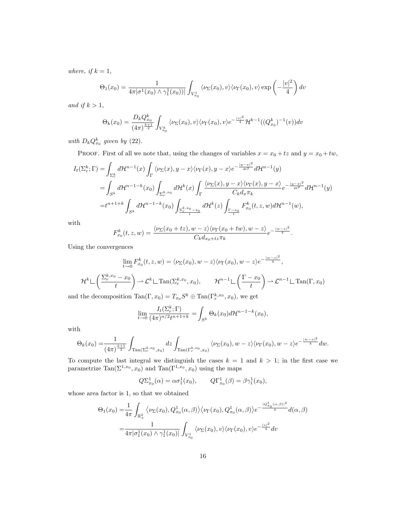where, if  $k = 1$ ,

$$
\Theta_1(x_0) = \frac{1}{4\pi |\sigma^1(x_0) \wedge \gamma_1^1(x_0))|} \int_{V_{x_0}^1} \langle \nu_\Sigma(x_0), v \rangle \langle \nu_\Gamma(x_0), v \rangle \exp\left(-\frac{|v|^2}{4}\right) dv
$$

and if  $k > 1$ ,

$$
\Theta_k(x_0) = \frac{D_k Q_{x_0}^k}{(4\pi)^{\frac{k+1}{2}}} \int_{V_{x_0}^k} \langle \nu_\Sigma(x_0), v \rangle \langle \nu_\Gamma(x_0), v \rangle e^{-\frac{|v|^2}{4}} \mathcal{H}^{k-1}((Q_{x_0}^k)^{-1}(v)) dv
$$

with  $D_k Q_{x_0}^k$  given by (22).

PROOF. First of all we note that, using the changes of variables  $x = x_0 + tz$  and  $y = x_0 + tw$ ,

$$
I_t(\Sigma_r^k; \Gamma) = \int_{\Sigma_r^k} d\mathcal{H}^{n-1}(x) \int_{\Gamma} \langle \nu_{\Sigma}(x), y - x \rangle \langle \nu_{\Gamma}(x), y - x \rangle e^{-\frac{|y - x|^2}{4t^2}} d\mathcal{H}^{n-1}(y)
$$
  
\n
$$
= \int_{S^k} d\mathcal{H}^{n-1-k}(x_0) \int_{\Sigma_r^{k, x_0}} d\mathcal{H}^k(x) \int_{\Gamma} \frac{\langle \nu_{\Sigma}(x), y - x \rangle \langle \nu_{\Gamma}(x), y - x \rangle}{C_k d_x \pi_k} e^{-\frac{|y - x|^2}{4t^2}} d\mathcal{H}^{n-1}(y)
$$
  
\n
$$
= t^{n+1+k} \int_{S^k} d\mathcal{H}^{n-1-k}(x_0) \int_{\frac{\Sigma_r^{k, x_0} - x_0}{t}} d\mathcal{H}^k(z) \int_{\frac{\Gamma - x_0}{t}} F_{x_0}^k(t, z, w) d\mathcal{H}^{n-1}(w),
$$

with

$$
F_{x_0}^k(t, z, w) = \frac{\langle \nu_{\Sigma}(x_0 + tz), w - z \rangle \langle \nu_{\Gamma}(x_0 + tw), w - z \rangle}{C_k d_{x_0 + tz} \pi_k} e^{-\frac{|w - z|^2}{4}}.
$$

Using the convergences

$$
\lim_{t \to 0} F_{x_0}^k(t, z, w) = \langle \nu_{\Sigma}(x_0), w - z \rangle \langle \nu_{\Gamma}(x_0), w - z \rangle e^{-\frac{|w - z|^2}{4}},
$$
\n
$$
\mathcal{H}^k \sqcup \left( \frac{\sum_{r}^{k, x_0} - x_0}{t} \right) \to \mathcal{L}^k \sqcup \text{Tan}(\Sigma_r^{k, x_0}, x_0), \qquad \mathcal{H}^{n-1} \sqcup \left( \frac{\Gamma - x_0}{t} \right) \to \mathcal{L}^{n-1} \sqcup \text{Tan}(\Gamma, x_0)
$$

and the decomposition  $\text{Tan}(\Gamma, x_0) = T_{x_0} S^k \oplus \text{Tan}(\Gamma_r^{k, x_0}, x_0)$ , we get

$$
\lim_{t \to 0} \frac{I_t(\Sigma_r^k; \Gamma)}{(4\pi)^{n/2} t^{n+1+k}} = \int_{S^k} \Theta_k(x_0) d\mathcal{H}^{n-1-k}(x_0),
$$

with

$$
\Theta_k(x_0) = \frac{1}{(4\pi)^{\frac{k+1}{2}}} \int_{\text{Tan}(\Sigma_r^{k,x_0}, x_0)} dz \int_{\text{Tan}(\Gamma_r^{k,x_0}, x_0)} \langle \nu_{\Sigma}(x_0), w - z \rangle \langle \nu_{\Gamma}(x_0), w - z \rangle e^{-\frac{|w - z|^2}{4}} dw.
$$

To compute the last integral we distinguish the cases  $k = 1$  and  $k > 1$ ; in the first case we parametrize  $\text{Tan}(\Sigma^{1,x_0}, x_0)$  and  $\text{Tan}(\Gamma^{1,x_0}, x_0)$  using the maps

$$
Q\Sigma_{x_0}^1(\alpha) = \alpha \sigma_1^1(x_0), \qquad Q\Gamma_{x_0}^1(\beta) = \beta \gamma_1^1(x_0),
$$

whose area factor is 1, so that we obtained

$$
\Theta_1(x_0) = \frac{1}{4\pi} \int_{\mathbb{R}_+^2} \langle \nu_\Sigma(x_0), Q_{x_0}^1(\alpha, \beta) \rangle \langle \nu_\Gamma(x_0), Q_{x_0}^1(\alpha, \beta) \rangle e^{-\frac{|Q_{x_0}^1(\alpha, \beta)|^2}{4}} d(\alpha, \beta)
$$

$$
= \frac{1}{4\pi |\sigma_1^1(x_0) \wedge \gamma_1^1(x_0)|} \int_{V_{x_0}^1} \langle \nu_\Sigma(x_0), v \rangle \langle \nu_\Gamma(x_0), v \rangle e^{-\frac{|v|^2}{4}} dv
$$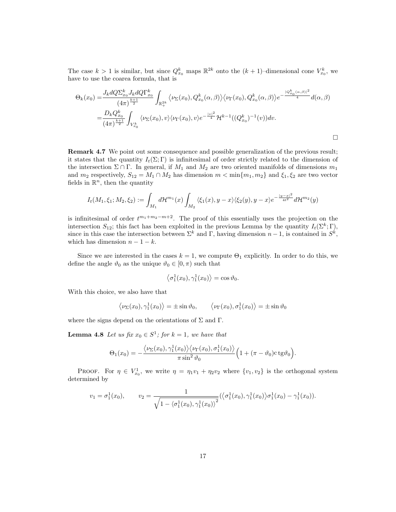The case  $k > 1$  is similar, but since  $Q_{x_0}^k$  maps  $\mathbb{R}^{2k}$  onto the  $(k+1)$ -dimensional cone  $V_{x_0}^k$ , we have to use the coarea formula, that is

$$
\Theta_k(x_0) = \frac{J_k dQ \Sigma_{x_0}^k J_k dQ \Gamma_{x_0}^k}{(4\pi)^{\frac{k+1}{2}}} \int_{\mathbb{R}_+^{2k}} \langle \nu_\Sigma(x_0), Q_{x_0}^k(\alpha, \beta) \rangle \langle \nu_\Gamma(x_0), Q_{x_0}^k(\alpha, \beta) \rangle e^{-\frac{|Q_{x_0}^k(\alpha, \beta)|^2}{4}} d(\alpha, \beta)
$$
  
= 
$$
\frac{D_k Q_{x_0}^k}{(4\pi)^{\frac{k+1}{2}}} \int_{V_{x_0}^k} \langle \nu_\Sigma(x_0), v \rangle \langle \nu_\Gamma(x_0), v \rangle e^{-\frac{|v|^2}{4}} \mathcal{H}^{k-1}((Q_{x_0}^k)^{-1}(v)) dv.
$$

Remark 4.7 We point out some consequence and possible generalization of the previous result; it states that the quantity  $I_t(\Sigma; \Gamma)$  is infinitesimal of order strictly related to the dimension of the intersection  $\Sigma \cap \Gamma$ . In general, if  $M_1$  and  $M_2$  are two oriented manifolds of dimensions  $m_1$ and  $m_2$  respectively,  $S_{12} = M_1 \cap M_2$  has dimension  $m < \min\{m_1, m_2\}$  and  $\xi_1, \xi_2$  are two vector fields in  $\mathbb{R}^n$ , then the quantity

$$
I_t(M_1,\xi_1;M_2,\xi_2) := \int_{M_1} d\mathcal{H}^{m_1}(x) \int_{M_2} \langle \xi_1(x), y - x \rangle \langle \xi_2(y), y - x \rangle e^{-\frac{|y - x|^2}{4t^2}} d\mathcal{H}^{m_2}(y)
$$

is infinitesimal of order  $t^{m_1+m_2-m+2}$ . The proof of this essentially uses the projection on the intersection  $S_{12}$ ; this fact has been exploited in the previous Lemma by the quantity  $I_t(\Sigma^k; \Gamma)$ , since in this case the intersection between  $\Sigma^k$  and Γ, having dimension  $n-1$ , is contained in  $S^k$ , which has dimension  $n - 1 - k$ .

Since we are interested in the cases  $k = 1$ , we compute  $\Theta_1$  explicitly. In order to do this, we define the angle  $\vartheta_0$  as the unique  $\vartheta_0 \in [0, \pi)$  such that

$$
\langle \sigma_1^1(x_0), \gamma_1^1(x_0) \rangle = \cos \vartheta_0.
$$

With this choice, we also have that

$$
\langle \nu_{\Sigma}(x_0), \gamma_1^1(x_0) \rangle = \pm \sin \vartheta_0, \qquad \langle \nu_{\Gamma}(x_0), \sigma_1^1(x_0) \rangle = \pm \sin \vartheta_0
$$

where the signs depend on the orientations of  $\Sigma$  and  $\Gamma$ .

**Lemma 4.8** Let us fix  $x_0 \in S^1$ ; for  $k = 1$ , we have that

$$
\Theta_1(x_0) = -\frac{\langle \nu_{\Sigma}(x_0), \gamma_1^1(x_0) \rangle \langle \nu_{\Gamma}(x_0), \sigma_1^1(x_0) \rangle}{\pi \sin^2 \vartheta_0} \Big(1 + (\pi - \vartheta_0) c \, \text{tg} \vartheta_0 \Big).
$$

PROOF. For  $\eta \in V_{x_0}^1$ , we write  $\eta = \eta_1 v_1 + \eta_2 v_2$  where  $\{v_1, v_2\}$  is the orthogonal system determined by

$$
v_1 = \sigma_1^1(x_0), \qquad v_2 = \frac{1}{\sqrt{1 - \langle \sigma_1^1(x_0), \gamma_1^1(x_0) \rangle^2}} (\langle \sigma_1^1(x_0), \gamma_1^1(x_0) \rangle \sigma_1^1(x_0) - \gamma_1^1(x_0)).
$$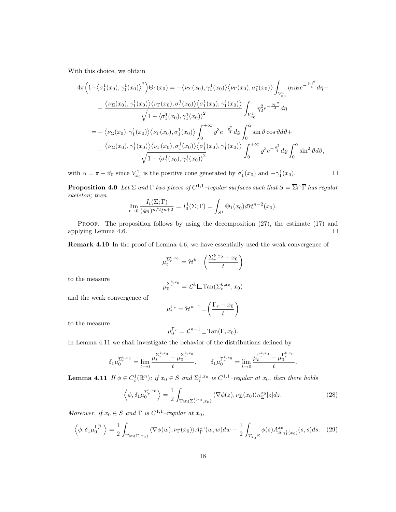With this choice, we obtain

$$
4\pi \left(1-\langle \sigma_1^1(x_0), \gamma_1^1(x_0)\rangle^2\right) \Theta_1(x_0) = -\langle \nu_{\Sigma}(x_0), \gamma_1^1(x_0)\rangle \langle \nu_{\Gamma}(x_0), \sigma_1^1(x_0)\rangle \int_{V_{x_0}^1} \eta_1 \eta_2 e^{-\frac{|\eta_1|^2}{4}} d\eta +
$$
  
 
$$
-\frac{\langle \nu_{\Sigma}(x_0), \gamma_1^1(x_0)\rangle \langle \nu_{\Gamma}(x_0), \sigma_1^1(x_0)\rangle \langle \sigma_1^1(x_0), \gamma_1^1(x_0)\rangle}{\sqrt{1-\langle \sigma_1^1(x_0), \gamma_1^1(x_0)\rangle^2}} \int_{V_{x_0}^1} \eta_2^2 e^{-\frac{|\eta_1|^2}{4}} d\eta
$$
  
\n
$$
= -\langle \nu_{\Sigma}(x_0), \gamma_1^1(x_0)\rangle \langle \nu_{\Gamma}(x_0), \sigma_1^1(x_0)\rangle \int_0^{+\infty} \varrho^3 e^{-\frac{\varrho^2}{4}} d\varrho \int_0^{\alpha} \sin \vartheta \cos \vartheta d\vartheta +
$$
  
\n
$$
-\frac{\langle \nu_{\Sigma}(x_0), \gamma_1^1(x_0)\rangle \langle \nu_{\Gamma}(x_0), \sigma_1^1(x_0)\rangle \langle \sigma_1^1(x_0), \gamma_1^1(x_0)\rangle}{\sqrt{1-\langle \sigma_1^1(x_0), \gamma_1^1(x_0)\rangle^2}} \int_0^{+\infty} \varrho^3 e^{-\frac{\varrho^2}{4}} d\varrho \int_0^{\alpha} \sin^2 \vartheta d\vartheta,
$$

with  $\alpha = \pi - \vartheta_0$  since  $V_{x_0}^1$  is the positive cone generated by  $\sigma_1^1(x_0)$  and  $-\gamma_1^1(x_0)$ .

**Proposition 4.9** Let  $\Sigma$  and  $\Gamma$  two pieces of  $C^{1,1}$ -regular surfaces such that  $S = \overline{\Sigma} \cap \overline{\Gamma}$  has regular skeleton; then

$$
\lim_{t \to 0} \frac{I_t(\Sigma; \Gamma)}{(4\pi)^{n/2} t^{n+2}} = I_0^1(\Sigma; \Gamma) = \int_{S^1} \Theta_1(x_0) d\mathcal{H}^{n-2}(x_0).
$$

PROOF. The proposition follows by using the decomposition  $(27)$ , the estimate  $(17)$  and applying Lemma 4.6.  $\Box$ 

Remark 4.10 In the proof of Lemma 4.6, we have essentially used the weak convergence of

$$
\mu_t^{\Sigma_r^{k,x_0}} = \mathcal{H}^k \sqcup \left(\frac{\Sigma_r^{k,x_0} - x_0}{t}\right)
$$

to the measure

$$
\mu_0^{\Sigma_r^{k,x_0}} = \mathcal{L}^k \sqcup \text{Tan}(\Sigma_r^{k,x_0}, x_0)
$$

and the weak convergence of

$$
\mu_t^{\Gamma_r} = \mathcal{H}^{n-1} \sqcup \left( \frac{\Gamma_r - x_0}{t} \right)
$$

to the measure

$$
\mu_0^{\Gamma_r} = \mathcal{L}^{n-1} \mathcal{L} \operatorname{Tan}(\Gamma, x_0).
$$

In Lemma 4.11 we shall investigate the behavior of the distributions defined by

$$
\delta_1\mu_0^{\Sigma_r^{k,x_0}}=\lim_{t\to 0}\frac{\mu_t^{\Sigma_r^{k,x_0}}-\mu_0^{\Sigma_r^{k,x_0}}}{t},\qquad \delta_1\mu_0^{\Gamma_r^{k,x_0}}=\lim_{t\to 0}\frac{\mu_t^{\Gamma_r^{k,x_0}}-\mu_0^{\Gamma_r^{k,x_0}}}{t}
$$

**Lemma 4.11** If  $\phi \in C_c^1(\mathbb{R}^n)$ ; if  $x_0 \in S$  and  $\Sigma_r^{1,x_0}$  is  $C^{1,1}$ -regular at  $x_0$ , then there holds

$$
\left\langle \phi, \delta_1 \mu_0^{\Sigma_{r}^{1,x_0}} \right\rangle = \frac{1}{2} \int_{\text{Tan}(\Sigma_{r}^{1,x_0}, x_0)} \langle \nabla \phi(z), \nu_{\Sigma}(x_0) \rangle \kappa_{\Sigma}^{x_0}[z] dz. \tag{28}
$$

.

Moreover, if  $x_0 \in S$  and  $\Gamma$  is  $C^{1,1}$ -regular at  $x_0$ ,

$$
\left\langle \phi, \delta_1 \mu_0^{\Gamma_r^{x_0}} \right\rangle = \frac{1}{2} \int_{\text{Tan}(\Gamma, x_0)} \langle \nabla \phi(w), \nu_{\Gamma}(x_0) \rangle A_{\Gamma}^{x_0}(w, w) dw - \frac{1}{2} \int_{T_{x_0}S} \phi(s) A_{S, \gamma_1^1(x_0)}^{x_0}(s, s) ds. \tag{29}
$$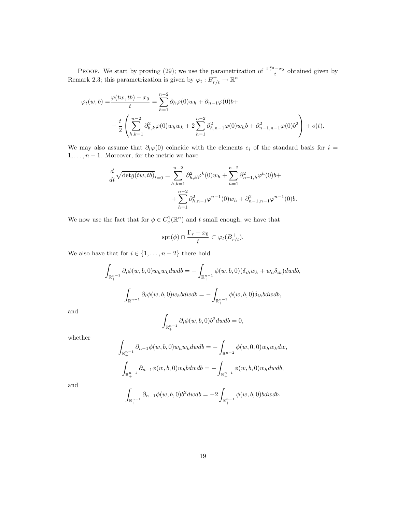**PROOF.** We start by proving (29); we use the parametrization of  $\frac{\Gamma_r^{x_0}-x_0}{t}$  obtained given by Remark 2.3; this parametrization is given by  $\varphi_t : B^+_{r/t} \to \mathbb{R}^n$ 

$$
\varphi_t(w, b) = \frac{\varphi(tw, tb) - x_0}{t} = \sum_{h=1}^{n-2} \partial_h \varphi(0) w_h + \partial_{n-1} \varphi(0) b +
$$
  
+ 
$$
\frac{t}{2} \left( \sum_{h,k=1}^{n-2} \partial_{h,k}^2 \varphi(0) w_h w_k + 2 \sum_{h=1}^{n-2} \partial_{h,n-1}^2 \varphi(0) w_h b + \partial_{n-1,n-1}^2 \varphi(0) b^2 \right) + o(t).
$$

We may also assume that  $\partial_i\varphi(0)$  coincide with the elements  $e_i$  of the standard basis for  $i =$  $1, \ldots, n-1$ . Moreover, for the metric we have

$$
\frac{d}{dt}\sqrt{\det g(tw,tb)}_{t=0} = \sum_{h,k=1}^{n-2} \partial_{h,k}^2 \varphi^k(0)w_h + \sum_{h=1}^{n-2} \partial_{n-1,h}^2 \varphi^h(0)b + \n+ \sum_{h=1}^{n-2} \partial_{h,n-1}^2 \varphi^{n-1}(0)w_h + \partial_{n-1,n-1}^2 \varphi^{n-1}(0)b.
$$

We now use the fact that for  $\phi \in C_c^1(\mathbb{R}^n)$  and t small enough, we have that

$$
\operatorname{spt}(\phi)\cap \frac{\Gamma_r-x_0}{t}\subset \varphi_t(B_{r/t}^+).
$$

We also have that for  $i \in \{1, \ldots, n-2\}$  there hold

$$
\int_{\mathbb{R}^{n-1}_+} \partial_i \phi(w, b, 0) w_h w_k dw db = - \int_{\mathbb{R}^{n-1}_+} \phi(w, b, 0) (\delta_{ih} w_k + w_h \delta_{ik}) dw db,
$$

$$
\int_{\mathbb{R}^{n-1}_+} \partial_i \phi(w, b, 0) w_h b dw db = - \int_{\mathbb{R}^{n-1}_+} \phi(w, b, 0) \delta_{ih} b dw db,
$$

and

$$
\int_{\mathbb{R}^{n-1}_+} \partial_i \phi(w, b, 0) b^2 dw db = 0,
$$

whether

$$
\int_{\mathbb{R}^{n-1}_+} \partial_{n-1} \phi(w, b, 0) w_h w_k dw db = - \int_{\mathbb{R}^{n-2}} \phi(w, 0, 0) w_h w_k dw,
$$

$$
\int_{\mathbb{R}^{n-1}_+} \partial_{n-1} \phi(w, b, 0) w_h b dw db = - \int_{\mathbb{R}^{n-1}_+} \phi(w, b, 0) w_h dw db,
$$

and

$$
\int_{\mathbb{R}^{n-1}_+} \partial_{n-1} \phi(w, b, 0) b^2 dw db = -2 \int_{\mathbb{R}^{n-1}_+} \phi(w, b, 0) b dw db.
$$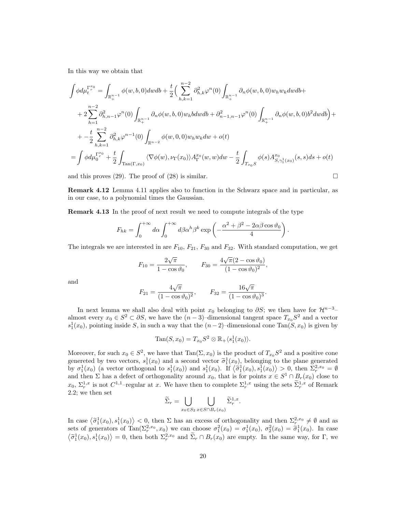In this way we obtain that

$$
\int \phi d\mu_t^{\Gamma_r^{x_0}} = \int_{\mathbb{R}_+^{n-1}} \phi(w, b, 0) dw db + \frac{t}{2} \Big( \sum_{h,k=1}^{n-2} \partial_{h,k}^2 \varphi^n(0) \int_{\mathbb{R}_+^{n-1}} \partial_n \phi(w, b, 0) w_h w_k dw db + \n+ 2 \sum_{h=1}^{n-2} \partial_{h,n-1}^2 \varphi^n(0) \int_{\mathbb{R}_+^{n-1}} \partial_n \phi(w, b, 0) w_h b dw db + \partial_{n-1,n-1}^2 \varphi^n(0) \int_{\mathbb{R}_+^{n-1}} \partial_n \phi(w, b, 0) b^2 dw db \Big) + \n+ - \frac{t}{2} \sum_{h,k=1}^{n-2} \partial_{h,k}^2 \varphi^{n-1}(0) \int_{\mathbb{R}^{n-2}} \phi(w, 0, 0) w_h w_k dw + o(t) \n= \int \phi d\mu_0^{\Gamma_r^{x_0}} + \frac{t}{2} \int_{\text{Tan}(\Gamma, x_0)} \langle \nabla \phi(w), \nu_{\Gamma}(x_0) \rangle A_{\Gamma}^{x_0}(w, w) dw - \frac{t}{2} \int_{T_{x_0}S} \phi(s) A_{S, \gamma_1^1(x_0)}^{x_0}(s, s) ds + o(t)
$$

and this proves (29). The proof of (28) is similar.  $\square$ 

Remark 4.12 Lemma 4.11 applies also to function in the Schwarz space and in particular, as in our case, to a polynomial times the Gaussian.

Remark 4.13 In the proof of next result we need to compute integrals of the type

$$
F_{hk} = \int_0^{+\infty} d\alpha \int_0^{+\infty} d\beta \alpha^h \beta^k \exp\left(-\frac{\alpha^2 + \beta^2 - 2\alpha\beta\cos\vartheta_0}{4}\right).
$$

The integrals we are interested in are  $F_{10}$ ,  $F_{21}$ ,  $F_{30}$  and  $F_{32}$ . With standard computation, we get

$$
F_{10} = \frac{2\sqrt{\pi}}{1 - \cos\vartheta_0}, \qquad F_{30} = \frac{4\sqrt{\pi}(2 - \cos\vartheta_0)}{(1 - \cos\vartheta_0)^2},
$$

and

$$
F_{21} = \frac{4\sqrt{\pi}}{(1 - \cos \vartheta_0)^2}, \qquad F_{32} = \frac{16\sqrt{\pi}}{(1 - \cos \vartheta_0)^3}.
$$

In next lemma we shall also deal with point  $x_0$  belonging to  $\partial S$ ; we then have for  $\mathcal{H}^{n-3}$ – almost every  $x_0 \in S^2 \subset \partial S$ , we have the  $(n-3)$ -dimensional tangent space  $T_{x_0}S^2$  and a vector  $s_1^1(x_0)$ , pointing inside S, in such a way that the  $(n-2)$ -dimensional cone Tan(S, x<sub>0</sub>) is given by

$$
\operatorname{Tan}(S, x_0) = T_{x_0} S^2 \otimes \mathbb{R}_+ \langle s_1^1(x_0) \rangle.
$$

Moreover, for such  $x_0 \in S^2$ , we have that  $\text{Tan}(\Sigma, x_0)$  is the product of  $T_{x_0}S^2$  and a positive cone genereted by two vectors,  $s_1^1(x_0)$  and a second vector  $\tilde{\sigma}_1^1(x_0)$ , belonging to the plane generated<br>by  $\sigma_1^1(x_0)$  (a vector orthogonal to  $s_1^1(x_0)$ ) and  $s_1^1(x_0)$ ,  $\tilde{F}(\tilde{\pi}_1^1(x_0), s_1^1(x_0)) > 0$ , then  $\Sigma$ by  $\sigma_1^1(x_0)$  (a vector orthogonal to  $s_1^1(x_0)$ ) and  $s_1^1(x_0)$ . If  $\langle \tilde{\sigma}_1^1(x_0), s_1^1(x_0) \rangle > 0$ , then  $\Sigma_r^{2,x_0} = \emptyset$ and then  $\Sigma$  has a defect of orthogonality around  $x_0$ , that is for points  $x \in S^1 \cap B_r(x_0)$  close to  $x_0, \Sigma_r^{1,x}$  is not  $C^{1,1}$ -regular at x. We have then to complete  $\Sigma_r^{1,x}$  using the sets  $\widetilde{\Sigma}_r^{1,x}$  of Remark 2.2; we then set

$$
\widetilde{\Sigma}_r = \bigcup_{x_0 \in S_2} \bigcup_{x \in S \cap B_r(x_0)} \widetilde{\Sigma}_r^{1,x}.
$$

In case  $\langle \tilde{\sigma}_1^1(x_0), s_1^1(x_0) \rangle < 0$ , then  $\Sigma$  has an excess of orthogonality and then  $\Sigma_r^{2,x_0} \neq \emptyset$  and as sets of generators of  $\text{Tan}(\Sigma_r^{2,x_0}, x_0)$  we can choose  $\sigma_1^2(x_0) = \sigma_1^1(x_0)$ ,  $\sigma_2^2(x_0) = \tilde{\sigma}_1^1(x_0)$ . In case  $\langle \tilde{\sigma}_1^1(x_0), s_1^1(x_0) \rangle = 0$ , then both  $\Sigma_r^{2,x_0}$  and  $\Sigma_r \cap B_r(x_0)$  are empty. In the same way, for  $\Gamma$ , we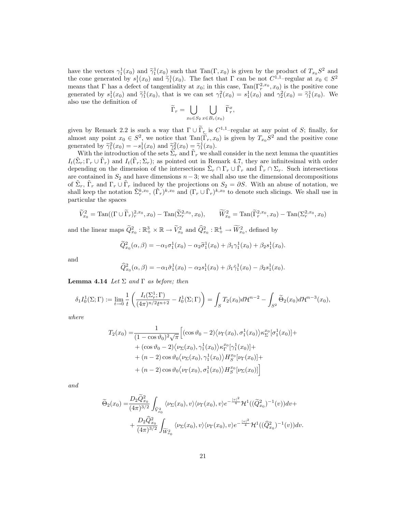have the vectors  $\gamma_1^1(x_0)$  and  $\tilde{\gamma}_1^1(x_0)$  such that  $\text{Tan}(\Gamma, x_0)$  is given by the product of  $T_{x_0}S^2$  and the cone generated by  $e^1(x_0)$  and  $\tilde{\gamma}_1^1(x_0)$ . The fact that  $\Gamma$  can be not  $C^{1,1}$  regular at the cone generated by  $s_1^1(x_0)$  and  $\tilde{\gamma}_1^1(x_0)$ . The fact that  $\Gamma$  can be not  $C^{1,1}$ -regular at  $x_0 \in S^2$ <br>means that  $\Gamma$  has a defect of tangentiality at  $x_0$ ; in this asso.  $\text{Tr}(\Gamma^{2,x_0}, x_0)$  is the positive means that Γ has a defect of tangentiality at  $x_0$ ; in this case,  $\text{Tan}(\Gamma_r^{2,x_0}, x_0)$  is the positive cone generated by  $s_1^1(x_0)$  and  $\tilde{\gamma}_1^1(x_0)$ , that is we can set  $\gamma_1^2(x_0) = s_1^1(x_0)$  and  $\gamma_2^2(x_0) = \tilde{\gamma}_1^1(x_0)$ . We also use the definition of

$$
\widetilde{\Gamma}_r = \bigcup_{x_0 \in S_2} \bigcup_{x \in B_r(x_0)} \widetilde{\Gamma}_r^x,
$$

given by Remark 2.2 is such a way that  $\Gamma \cup \widetilde{\Gamma}_r$  is  $C^{1,1}$ -regular at any point of S; finally, for almost any point  $x_0 \in S^2$ , we notice that  $\text{Tan}(\tilde{\Gamma}_r, x_0)$  is given by  $T_{x_0}S^2$  and the positive cone generated by  $\widetilde{\gamma}_1^2(x_0) = -s_1^1(x_0)$  and  $\widetilde{\gamma}_2^2(x_0) = \widetilde{\gamma}_1^1(x_0)$ .<br>With the introduction of the sets  $\widetilde{\Sigma}$  and  $\widetilde{\Gamma}$  we shall

With the introduction of the sets  $\tilde{\Sigma}_r$  and  $\tilde{\Gamma}_r$  we shall consider in the next lemma the quantities  $I_t(\tilde{\Sigma}_r; \Gamma_r \cup \tilde{\Gamma}_r)$  and  $I_t(\tilde{\Gamma}_r; \Sigma_r)$ ; as pointed out in Remark 4.7, they are infinitesimal with order depending on the dimension of the intersections  $\tilde{\Sigma}_r \cap \Gamma_r \cup \tilde{\Gamma}_r$  and  $\tilde{\Gamma}_r \cap \Sigma_r$ . Such intersections are contained in  $S_2$  and have dimensions  $n-3$ ; we shall also use the dimensional decompositions of  $\tilde{\Sigma}_r$ ,  $\tilde{\Gamma}_r$  and  $\Gamma_r \cup \tilde{\Gamma}_r$  induced by the projections on  $S_2 = \partial S$ . With an abuse of notation, we shall keep the notation  $\tilde{\Sigma}_r^{k,x_0}$ ,  $(\tilde{\Gamma}_r)^{k,x_0}$  and  $(\Gamma_r \cup \tilde{\Gamma}_r)^{k,x_0}$  to denote such slicings. We shall use in particular the spaces

$$
\widetilde{V}_{x_0}^2 = \text{Tan}((\Gamma \cup \widetilde{\Gamma}_r)_{r}^{2,x_0}, x_0) - \text{Tan}(\widetilde{\Sigma}_r^{2,x_0}, x_0), \qquad \widetilde{W}_{x_0}^2 = \text{Tan}(\widetilde{\Gamma}_r^{2,x_0}, x_0) - \text{Tan}(\Sigma_r^{2,x_0}, x_0)
$$

and the linear maps  $\widetilde{Q}_{x_0}^2 : \mathbb{R}_+^3 \times \mathbb{R} \to \widetilde{V}_{x_0}^2$  and  $\widehat{Q}_{x_0}^2 : \mathbb{R}_+^4 \to \widetilde{W}_{x_0}^2$ , defined by

$$
\widetilde{Q}_{x_0}^2(\alpha,\beta) = -\alpha_1\sigma_1^1(x_0) - \alpha_2\widetilde{\sigma}_1^1(x_0) + \beta_1\gamma_1^1(x_0) + \beta_2s_1^1(x_0).
$$

and

$$
\widehat{Q}_{x_0}^2(\alpha,\beta) = -\alpha_1 \tilde{\sigma}_1^1(x_0) - \alpha_2 s_1^1(x_0) + \beta_1 \tilde{\gamma}_1^1(x_0) - \beta_2 s_1^1(x_0).
$$

**Lemma 4.14** Let  $\Sigma$  and  $\Gamma$  as before; then

$$
\delta_1 I_0^1(\Sigma;\Gamma) := \lim_{t \to 0} \frac{1}{t} \left( \frac{I_t(\Sigma_r^1;\Gamma)}{(4\pi)^{n/2}t^{n+2}} - I_0^1(\Sigma;\Gamma) \right) = \int_S T_2(x_0) d\mathcal{H}^{n-2} - \int_{S^2} \widetilde{\Theta}_2(x_0) d\mathcal{H}^{n-3}(x_0),
$$

where

$$
T_2(x_0) = \frac{1}{(1 - \cos \vartheta_0)^2 \sqrt{\pi}} \Big[ (\cos \vartheta_0 - 2) \langle \nu_{\Gamma}(x_0), \sigma_1^1(x_0) \rangle \kappa_{\Sigma}^{x_0} [\sigma_1^1(x_0)] + \\ + (\cos \vartheta_0 - 2) \langle \nu_{\Sigma}(x_0), \gamma_1^1(x_0) \rangle \kappa_{\Gamma}^{x_0} [\gamma_1^1(x_0)] + \\ + (n - 2) \cos \vartheta_0 \langle \nu_{\Sigma}(x_0), \gamma_1^1(x_0) \rangle H_S^{x_0} [\nu_{\Gamma}(x_0)] + \\ + (n - 2) \cos \vartheta_0 \langle \nu_{\Gamma}(x_0), \sigma_1^1(x_0) \rangle H_S^{x_0} [\nu_{\Sigma}(x_0)] \Big]
$$

and

$$
\widetilde{\Theta}_{2}(x_{0}) = \frac{D_{2}\widetilde{Q}_{x_{0}}^{2}}{(4\pi)^{3/2}} \int_{\widetilde{V}_{x_{0}}^{2}} \langle \nu_{\Sigma}(x_{0}), v \rangle \langle \nu_{\Gamma}(x_{0}), v \rangle e^{-\frac{|v|^{2}}{4}} \mathcal{H}^{1}((\widetilde{Q}_{x_{0}}^{2})^{-1}(v))dv + \n+ \frac{D_{2}\widehat{Q}_{x_{0}}^{2}}{(4\pi)^{3/2}} \int_{\widetilde{W}_{x_{0}}^{2}} \langle \nu_{\Sigma}(x_{0}), v \rangle \langle \nu_{\Gamma}(x_{0}), v \rangle e^{-\frac{|v|^{2}}{4}} \mathcal{H}^{1}((\widehat{Q}_{x_{0}}^{2})^{-1}(v))dv.
$$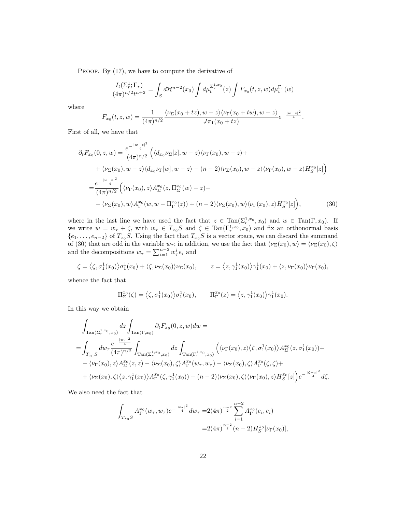PROOF. By  $(17)$ , we have to compute the derivative of

$$
\frac{I_t(\Sigma_r^1; \Gamma_r)}{(4\pi)^{n/2}t^{n+2}} = \int_S d\mathcal{H}^{n-2}(x_0) \int d\mu_t^{\Sigma_r^{1,x_0}}(z) \int F_{x_0}(t, z, w) d\mu_t^{\Gamma_r}(w)
$$

where

$$
F_{x_0}(t,z,w)=\frac{1}{(4\pi)^{n/2}}\frac{\langle\nu_{\Sigma}(x_0+tz),w-z\rangle\langle\nu_{\Gamma}(x_0+tw),w-z\rangle}{J\pi_1(x_0+tz)}e^{-\frac{|w-z|^2}{4}}.
$$

First of all, we have that

$$
\partial_t F_{x_0}(0, z, w) = \frac{e^{-\frac{|w-z|^2}{4}}}{(4\pi)^{n/2}} \Big( \langle d_{x_0} \nu_{\Sigma}[z], w - z \rangle \langle \nu_{\Gamma}(x_0), w - z \rangle + \n+ \langle \nu_{\Sigma}(x_0), w - z \rangle \langle d_{x_0} \nu_{\Gamma}[w], w - z \rangle - (n - 2) \langle \nu_{\Sigma}(x_0), w - z \rangle \langle \nu_{\Gamma}(x_0), w - z \rangle H_S^{x_0}[z] \Big) \n= \frac{e^{-\frac{|w-z|^2}{4}}}{(4\pi)^{n/2}} \Big( \langle \nu_{\Gamma}(x_0), z \rangle A_{\Sigma}^{x_0}(z, \Pi_{\Sigma}^{x_0}(w) - z) + \n- \langle \nu_{\Sigma}(x_0), w \rangle A_{\Gamma}^{x_0}(w, w - \Pi_{\Gamma}^{x_0}(z)) + (n - 2) \langle \nu_{\Sigma}(x_0), w \rangle \langle \nu_{\Gamma}(x_0), z \rangle H_S^{x_0}[z] \Big),
$$
\n(30)

where in the last line we have used the fact that  $z \in \text{Tan}(\Sigma_r^{1,x_0}, x_0)$  and  $w \in \text{Tan}(\Gamma, x_0)$ . If we write  $w = w_{\tau} + \zeta$ , with  $w_{\tau} \in T_{x_0}S$  and  $\zeta \in \text{Tan}(\Gamma_r^{1,x_0}, x_0)$  and fix an orthonormal basis  $\{e_1, \ldots, e_{n-2}\}\$  of  $T_{x_0}S$ . Using the fact that  $T_{x_0}S$  is a vector space, we can discard the summand of (30) that are odd in the variable  $w_\tau$ ; in addition, we use the fact that  $\langle \nu_\Sigma(x_0), w \rangle = \langle \nu_\Sigma(x_0), \zeta \rangle$ and the decompositions  $w_{\tau} = \sum_{i=1}^{n-2} w_{\tau}^{i} e_i$  and

$$
\zeta = \langle \zeta, \sigma_1^1(x_0) \rangle \sigma_1^1(x_0) + \langle \zeta, \nu_\Sigma(x_0) \rangle \nu_\Sigma(x_0), \qquad z = \langle z, \gamma_1^1(x_0) \rangle \gamma_1^1(x_0) + \langle z, \nu_\Gamma(x_0) \rangle \nu_\Gamma(x_0),
$$

whence the fact that

$$
\Pi_{\Sigma}^{x_0}(\zeta) = \langle \zeta, \sigma_1^1(x_0) \rangle \sigma_1^1(x_0), \qquad \Pi_{\Gamma}^{x_0}(z) = \langle z, \gamma_1^1(x_0) \rangle \gamma_1^1(x_0).
$$

In this way we obtain

$$
\int_{\text{Tan}(\Sigma_{r}^{1,x_{0}},x_{0})} dz \int_{\text{Tan}(\Gamma,x_{0})} \partial_{t} F_{x_{0}}(0,z,w) dw =
$$
\n
$$
= \int_{T_{x_{0}}S} dw_{\tau} \frac{e^{-\frac{|w_{\tau}|^{2}}{4}}}{(4\pi)^{n/2}} \int_{\text{Tan}(\Sigma_{r}^{1,x_{0}},x_{0})} dz \int_{\text{Tan}(\Gamma_{r}^{1,x_{0}},x_{0})} \left( \langle \nu_{\Gamma}(x_{0}), z \rangle \langle \zeta, \sigma_{1}^{1}(x_{0}) \rangle A_{\Sigma}^{x_{0}}(z, \sigma_{1}^{1}(x_{0})) + \right. \\
\left. - \langle \nu_{\Gamma}(x_{0}), z \rangle A_{\Sigma}^{x_{0}}(z, z) - \langle \nu_{\Sigma}(x_{0}), \zeta \rangle A_{\Gamma}^{x_{0}}(w_{\tau}, w_{\tau}) - \langle \nu_{\Sigma}(x_{0}), \zeta \rangle A_{\Gamma}^{x_{0}}(\zeta, \zeta) + \right. \\
\left. + \langle \nu_{\Sigma}(x_{0}), \zeta \rangle \langle z, \gamma_{1}^{1}(x_{0}) \rangle A_{\Gamma}^{x_{0}}(\zeta, \gamma_{1}^{1}(x_{0})) + (n-2) \langle \nu_{\Sigma}(x_{0}), \zeta \rangle \langle \nu_{\Gamma}(x_{0}), z \rangle H_{S}^{x_{0}}[z] \right) e^{-\frac{|\zeta - z|^{2}}{4}} d\zeta.
$$

We also need the fact that

$$
\int_{T_{x_0}S} A_{\Gamma}^{x_0}(w_{\tau}, w_{\tau})e^{-\frac{|w_{\tau}|^2}{4}} dw_{\tau} = 2(4\pi)^{\frac{n-2}{2}} \sum_{i=1}^{n-2} A_{\Gamma}^{x_0}(e_i, e_i)
$$
  

$$
= 2(4\pi)^{\frac{n-2}{2}}(n-2)H_S^{x_0}[\nu_{\Gamma}(x_0)],
$$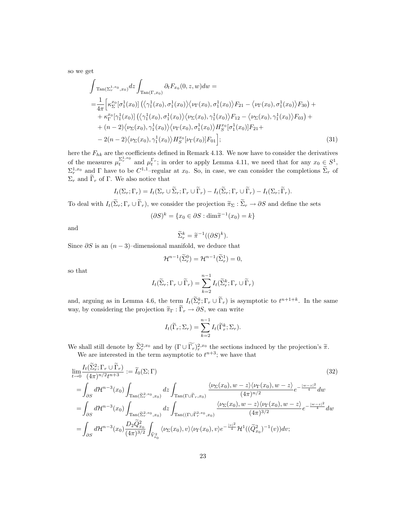so we get

$$
\int_{\text{Tan}(\Sigma_{r}^{1,x_{0}},x_{0})} dz \int_{\text{Tan}(\Gamma,x_{0})} \partial_{t} F_{x_{0}}(0,z,w) dw =
$$
\n
$$
= \frac{1}{4\pi} \Big[ \kappa_{\Sigma}^{x_{0}} [\sigma_{1}^{1}(x_{0})] \left( \langle \gamma_{1}^{1}(x_{0}), \sigma_{1}^{1}(x_{0}) \rangle \langle \nu_{\Gamma}(x_{0}), \sigma_{1}^{1}(x_{0}) \rangle F_{21} - \langle \nu_{\Gamma}(x_{0}), \sigma_{1}^{1}(x_{0}) \rangle F_{30} \right) + \kappa_{\Gamma}^{x_{0}} [\gamma_{1}^{1}(x_{0})] \left( \langle \gamma_{1}^{1}(x_{0}), \sigma_{1}^{1}(x_{0}) \rangle \langle \nu_{\Sigma}(x_{0}), \gamma_{1}^{1}(x_{0}) \rangle F_{12} - \langle \nu_{\Sigma}(x_{0}), \gamma_{1}^{1}(x_{0}) \rangle F_{03} \right) + (n-2) \langle \nu_{\Sigma}(x_{0}), \gamma_{1}^{1}(x_{0}) \rangle \langle \nu_{\Gamma}(x_{0}), \sigma_{1}^{1}(x_{0}) \rangle H_{S}^{x_{0}} [\sigma_{1}^{1}(x_{0})] F_{21} +
$$
\n
$$
-2(n-2) \langle \nu_{\Sigma}(x_{0}), \gamma_{1}^{1}(x_{0}) \rangle H_{S}^{x_{0}} [\nu_{\Gamma}(x_{0})] F_{01} \Big]; \tag{31}
$$

here the  $F_{hk}$  are the coefficients defined in Remark 4.13. We now have to consider the derivatives of the measures  $\mu_t^{\Sigma_r^{1,x_0}}$  and  $\mu_t^{\Gamma_r}$ ; in order to apply Lemma 4.11, we need that for any  $x_0 \in S^1$ ,  $\Sigma_r^{1,x_0}$  and  $\Gamma$  have to be  $C^{1,1}$ -regular at  $x_0$ . So, in case, we can consider the completions  $\widetilde{\Sigma}_r$  of  $\Sigma_r$  and  $\widetilde{\Gamma}_r$  of Γ. We also notice that

$$
I_t(\Sigma_r; \Gamma_r) = I_t(\Sigma_r \cup \widetilde{\Sigma}_r; \Gamma_r \cup \widetilde{\Gamma}_r) - I_t(\widetilde{\Sigma}_r; \Gamma_r \cup \widetilde{\Gamma}_r) - I_t(\Sigma_r; \widetilde{\Gamma}_r).
$$

To deal with  $I_t(\widetilde{\Sigma}_r; \Gamma_r \cup \widetilde{\Gamma}_r)$ , we consider the projection  $\widetilde{\pi}_{\Sigma}: \widetilde{\Sigma}_r \to \partial S$  and define the sets

$$
(\partial S)^k = \{x_0 \in \partial S : \dim \tilde{\pi}^{-1}(x_0) = k\}
$$

and

$$
\widetilde{\Sigma}_r^k = \widetilde{\pi}^{-1}((\partial S)^k).
$$

Since  $\partial S$  is an  $(n-3)$ –dimensional manifold, we deduce that

$$
\mathcal{H}^{n-1}(\widetilde{\Sigma}_r^0) = \mathcal{H}^{n-1}(\widetilde{\Sigma}_r^1) = 0,
$$

so that

$$
I_t(\widetilde{\Sigma}_r; \Gamma_r \cup \widetilde{\Gamma}_r) = \sum_{k=2}^{n-1} I_t(\widetilde{\Sigma}_r^k; \Gamma_r \cup \widetilde{\Gamma}_r)
$$

and, arguing as in Lemma 4.6, the term  $I_t(\tilde{\Sigma}_r^k; \Gamma_r \cup \tilde{\Gamma}_r)$  is asymptotic to  $t^{n+1+k}$ . In the same way, by considering the projection  $\tilde{\pi}_{\Gamma}: \tilde{\Gamma}_r \to \partial S$ , we can write

$$
I_t(\widetilde{\Gamma}_r; \Sigma_r) = \sum_{k=2}^{n-1} I_t(\widetilde{\Gamma}_r^k; \Sigma_r).
$$

We shall still denote by  $\sum_{r=0}^{\infty} x^{2, x_0}$  and by  $(\Gamma \cup \Gamma_r)^{2, x_0}$  the sections induced by the projection's  $\tilde{\pi}$ .<br>We are interested in the term asymptotic to  $t^{n+3}$ ; we have that

$$
\lim_{t \to 0} \frac{I_t(\tilde{\Sigma}_r^2; \Gamma_r \cup \tilde{\Gamma}_r)}{(4\pi)^{n/2}t^{n+3}} := \tilde{I}_0(\Sigma; \Gamma)
$$
\n
$$
= \int_{\partial S} d\mathcal{H}^{n-3}(x_0) \int_{\text{Tan}(\tilde{\Sigma}_r^{2,x_0}, x_0)} dz \int_{\text{Tan}(\Gamma \cup \tilde{\Gamma}_r, x_0)} \frac{\langle \nu_{\Sigma}(x_0), w - z \rangle \langle \nu_{\Gamma}(x_0), w - z \rangle}{(4\pi)^{n/2}} e^{-\frac{|w - z|^2}{4}} dw
$$
\n
$$
= \int_{\partial S} d\mathcal{H}^{n-3}(x_0) \int_{\text{Tan}(\tilde{\Sigma}_r^{2,x_0}, x_0)} dz \int_{\text{Tan}((\Gamma \cup \tilde{\Gamma}_r^{2,x_0}, x_0))} \frac{\langle \nu_{\Sigma}(x_0), w - z \rangle \langle \nu_{\Gamma}(x_0), w - z \rangle}{(4\pi)^{3/2}} e^{-\frac{|w - z|^2}{4}} dw
$$
\n
$$
= \int_{\partial S} d\mathcal{H}^{n-3}(x_0) \frac{D_2 \tilde{Q}_{x_0}^2}{(4\pi)^{3/2}} \int_{\tilde{V}_{x_0}^2} \langle \nu_{\Sigma}(x_0), v \rangle \langle \nu_{\Gamma}(x_0), v \rangle e^{-\frac{|v|^2}{4}} \mathcal{H}^1((\tilde{Q}_{x_0}^2)^{-1}(v)) dv;
$$
\n
$$
(32)
$$
\n(33)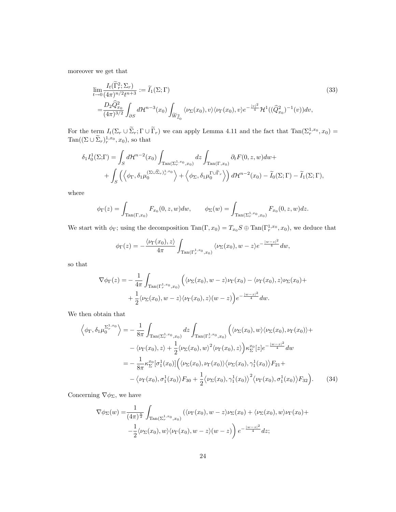moreover we get that

$$
\lim_{t \to 0} \frac{I_t(\tilde{\Gamma}_r^2; \Sigma_r)}{(4\pi)^{n/2} t^{n+3}} := \tilde{I}_1(\Sigma; \Gamma) \n= \frac{D_2 \hat{Q}_{x_0}^2}{(4\pi)^{3/2}} \int_{\partial S} d\mathcal{H}^{n-3}(x_0) \int_{\widetilde{W}_{x_0}^2} \langle \nu_{\Sigma}(x_0), v \rangle \langle \nu_{\Gamma}(x_0), v \rangle e^{-\frac{|v|^2}{4}} \mathcal{H}^1((\hat{Q}_{x_0}^2)^{-1}(v)) dv,
$$
\n(33)

For the term  $I_t(\Sigma_r \cup \widetilde{\Sigma}_r; \Gamma \cup \widetilde{\Gamma}_r)$  we can apply Lemma 4.11 and the fact that  $\text{Tan}(\Sigma_r^{1,x_0}, x_0) =$  $\text{Tan}((\Sigma \cup \tilde{\Sigma}_r)_r^{1,x_0}, x_0)$ , so that

$$
\delta_1 I_0^1(\Sigma; \Gamma) = \int_S d\mathcal{H}^{n-2}(x_0) \int_{\text{Tan}(\Sigma_r^{1,x_0}, x_0)} dz \int_{\text{Tan}(\Gamma, x_0)} \partial_t F(0, z, w) dw + + \int_S \left( \left\langle \phi_{\Gamma}, \delta_1 \mu_0^{(\Sigma \cup \tilde{\Sigma}_r)_{r}^{1,x_0}} \right\rangle + \left\langle \phi_{\Sigma}, \delta_1 \mu_0^{(\Sigma \cup \tilde{\Gamma}_r)} \right\rangle \right) d\mathcal{H}^{n-2}(x_0) - \tilde{I}_0(\Sigma; \Gamma) - \tilde{I}_1(\Sigma; \Gamma),
$$

where

$$
\phi_{\Gamma}(z) = \int_{\text{Tan}(\Gamma, x_0)} F_{x_0}(0, z, w) dw, \qquad \phi_{\Sigma}(w) = \int_{\text{Tan}(\Sigma^{1, x_0}_r, x_0)} F_{x_0}(0, z, w) dz.
$$

We start with  $\phi_{\Gamma}$ ; using the decomposition  $\text{Tan}(\Gamma, x_0) = T_{x_0} S \oplus \text{Tan}(\Gamma_r^{1,x_0}, x_0)$ , we deduce that

$$
\phi_{\Gamma}(z) = -\frac{\langle \nu_{\Gamma}(x_0), z \rangle}{4\pi} \int_{\text{Tan}(\Gamma^{1,x_0}_r, x_0)} \langle \nu_{\Sigma}(x_0), w - z \rangle e^{-\frac{|w - z|^2}{4}} dw,
$$

so that

$$
\nabla \phi_{\Gamma}(z) = -\frac{1}{4\pi} \int_{\text{Tan}(\Gamma_r^{1,x_0}, x_0)} \left( \langle \nu_{\Sigma}(x_0), w - z \rangle \nu_{\Gamma}(x_0) - \langle \nu_{\Gamma}(x_0), z \rangle \nu_{\Sigma}(x_0) + \frac{1}{2} \langle \nu_{\Sigma}(x_0), w - z \rangle \langle \nu_{\Gamma}(x_0), z \rangle (w - z) \right) e^{-\frac{|w - z|^2}{4}} dw.
$$

We then obtain that

$$
\left\langle \phi_{\Gamma}, \delta_{1} \mu_{0}^{\Sigma_{r}^{1,x_{0}}} \right\rangle = -\frac{1}{8\pi} \int_{\text{Tan}(\Sigma_{r}^{1,x_{0}},x_{0})} dz \int_{\text{Tan}(\Gamma_{r}^{1,x_{0}},x_{0})} \left( \langle \nu_{\Sigma}(x_{0}), w \rangle \langle \nu_{\Sigma}(x_{0}), \nu_{\Gamma}(x_{0}) \rangle + \right. \\
\left. - \langle \nu_{\Gamma}(x_{0}), z \rangle + \frac{1}{2} \langle \nu_{\Sigma}(x_{0}), w \rangle^{2} \langle \nu_{\Gamma}(x_{0}), z \rangle \right) \kappa_{\Sigma}^{x_{0}} [z] e^{-\frac{|w-z|^{2}}{4}} dw \\
= -\frac{1}{8\pi} \kappa_{\Sigma}^{x_{0}} [\sigma_{1}^{1}(x_{0})] \left( \langle \nu_{\Sigma}(x_{0}), \nu_{\Gamma}(x_{0}) \rangle \langle \nu_{\Sigma}(x_{0}), \gamma_{1}^{1}(x_{0}) \rangle F_{21} + \right. \\
\left. - \langle \nu_{\Gamma}(x_{0}), \sigma_{1}^{1}(x_{0}) \rangle F_{30} + \frac{1}{2} \langle \nu_{\Sigma}(x_{0}), \gamma_{1}^{1}(x_{0}) \rangle^{2} \langle \nu_{\Gamma}(x_{0}), \sigma_{1}^{1}(x_{0}) \rangle F_{32} \right). \tag{34}
$$

Concerning  $\nabla \phi_{\Sigma}$ , we have

$$
\nabla \phi_{\Sigma}(w) = \frac{1}{(4\pi)^{\frac{n}{2}}} \int_{\text{Tan}(\Sigma_r^{1,x_0}, x_0)} (\langle \nu_{\Gamma}(x_0), w - z \rangle \nu_{\Sigma}(x_0) + \langle \nu_{\Sigma}(x_0), w \rangle \nu_{\Gamma}(x_0) +
$$

$$
-\frac{1}{2} \langle \nu_{\Sigma}(x_0), w \rangle \langle \nu_{\Gamma}(x_0), w - z \rangle (w - z) \bigg) e^{-\frac{|w - z|^2}{4}} dz;
$$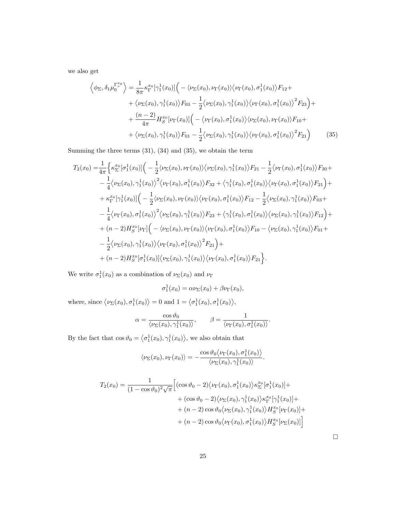we also get

$$
\left\langle \phi_{\Sigma}, \delta_{1} \mu_{0}^{\Gamma_{r}^{x_{0}}} \right\rangle = \frac{1}{8\pi} \kappa_{\Gamma}^{x_{0}} [\gamma_{1}^{1}(x_{0})] \Big( - \langle \nu_{\Sigma}(x_{0}), \nu_{\Gamma}(x_{0}) \rangle \langle \nu_{\Gamma}(x_{0}), \sigma_{1}^{1}(x_{0}) \rangle F_{12} + + \langle \nu_{\Sigma}(x_{0}), \gamma_{1}^{1}(x_{0}) \rangle F_{03} - \frac{1}{2} \langle \nu_{\Sigma}(x_{0}), \gamma_{1}^{1}(x_{0}) \rangle \langle \nu_{\Gamma}(x_{0}), \sigma_{1}^{1}(x_{0}) \rangle^{2} F_{23} \Big) + + \frac{(n-2)}{4\pi} H_{S}^{x_{0}} [\nu_{\Gamma}(x_{0})] \Big( - \langle \nu_{\Gamma}(x_{0}), \sigma_{1}^{1}(x_{0}) \rangle \langle \nu_{\Sigma}(x_{0}), \nu_{\Gamma}(x_{0}) \rangle F_{10} + + \langle \nu_{\Sigma}(x_{0}), \gamma_{1}^{1}(x_{0}) \rangle F_{01} - \frac{1}{2} \langle \nu_{\Sigma}(x_{0}), \gamma_{1}^{1}(x_{0}) \rangle \langle \nu_{\Gamma}(x_{0}), \sigma_{1}^{1}(x_{0}) \rangle^{2} F_{21} \Big)
$$
(35)

Summing the three terms (31), (34) and (35), we obtain the term

$$
T_{2}(x_{0}) = \frac{1}{4\pi} \Big\{ \kappa_{\Sigma}^{x_{0}}[\sigma_{1}^{1}(x_{0})] \Big( -\frac{1}{2} \langle \nu_{\Sigma}(x_{0}), \nu_{\Gamma}(x_{0}) \rangle \langle \nu_{\Sigma}(x_{0}), \gamma_{1}^{1}(x_{0}) \rangle F_{21} - \frac{1}{2} \langle \nu_{\Gamma}(x_{0}), \sigma_{1}^{1}(x_{0}) \rangle F_{30} +
$$
  
\n
$$
- \frac{1}{4} \langle \nu_{\Sigma}(x_{0}), \gamma_{1}^{1}(x_{0}) \rangle^{2} \langle \nu_{\Gamma}(x_{0}), \sigma_{1}^{1}(x_{0}) \rangle F_{32} + \langle \gamma_{1}^{1}(x_{0}), \sigma_{1}^{1}(x_{0}) \rangle \langle \nu_{\Gamma}(x_{0}), \sigma_{1}^{1}(x_{0}) \rangle F_{21} \Big) +
$$
  
\n
$$
+ \kappa_{\Gamma}^{x_{0}}[\gamma_{1}^{1}(x_{0})] \Big( -\frac{1}{2} \langle \nu_{\Sigma}(x_{0}), \nu_{\Gamma}(x_{0}) \rangle \langle \nu_{\Gamma}(x_{0}), \sigma_{1}^{1}(x_{0}) \rangle F_{12} - \frac{1}{2} \langle \nu_{\Sigma}(x_{0}), \gamma_{1}^{1}(x_{0}) \rangle F_{03} +
$$
  
\n
$$
- \frac{1}{4} \langle \nu_{\Gamma}(x_{0}), \sigma_{1}^{1}(x_{0}) \rangle^{2} \langle \nu_{\Sigma}(x_{0}), \gamma_{1}^{1}(x_{0}) \rangle F_{23} + \langle \gamma_{1}^{1}(x_{0}), \sigma_{1}^{1}(x_{0}) \rangle \langle \nu_{\Sigma}(x_{0}), \gamma_{1}^{1}(x_{0}) \rangle F_{12} \Big) +
$$
  
\n
$$
+ (n-2)H_{S}^{x_{0}}[\nu_{\Gamma}] \Big( - \langle \nu_{\Sigma}(x_{0}), \nu_{\Gamma}(x_{0}) \rangle \langle \nu_{\Gamma}(x_{0}), \sigma_{1}^{1}(x_{0}) \rangle F_{10} - \langle \nu_{\Sigma}(x_{0}), \gamma_{1}^{1}(x_{0}) \rangle F_{01} +
$$
  
\n
$$
- \frac{1}{2} \langle \nu_{\Sigma}(x_{0}), \gamma_{1}^{1}(x_{0}) \rangle \langle \
$$

We write  $\sigma_1^1(x_0)$  as a combination of  $\nu_{\Sigma}(x_0)$  and  $\nu_{\Gamma}$ 

$$
\sigma_1^1(x_0) = \alpha \nu_\Sigma(x_0) + \beta \nu_\Gamma(x_0),
$$

where, since  $\langle \nu_{\Sigma}(x_0), \sigma_1^1(x_0) \rangle = 0$  and  $1 = \langle \sigma_1^1(x_0), \sigma_1^1(x_0) \rangle$ ,

$$
\alpha = \frac{\cos \vartheta_0}{\langle \nu_{\Sigma}(x_0), \gamma_1^1(x_0) \rangle}, \qquad \beta = \frac{1}{\langle \nu_{\Gamma}(x_0), \sigma_1^1(x_0) \rangle}.
$$

By the fact that  $\cos \vartheta_0 = \langle \sigma_1^1(x_0), \gamma_1^1(x_0) \rangle$ , we also obtain that

$$
\langle \nu_{\Sigma}(x_0), \nu_{\Gamma}(x_0) \rangle = -\frac{\cos \vartheta_0 \langle \nu_{\Gamma}(x_0), \sigma_1^1(x_0) \rangle}{\langle \nu_{\Sigma}(x_0), \gamma_1^1(x_0) \rangle}.
$$

$$
T_2(x_0) = \frac{1}{(1 - \cos \vartheta_0)^2 \sqrt{\pi}} \Big[ (\cos \vartheta_0 - 2) \langle \nu_{\Gamma}(x_0), \sigma_1^1(x_0) \rangle \kappa_{\Sigma}^{x_0} [\sigma_1^1(x_0)] + \\ + (\cos \vartheta_0 - 2) \langle \nu_{\Sigma}(x_0), \gamma_1^1(x_0) \rangle \kappa_{\Gamma}^{x_0} [\gamma_1^1(x_0)] + \\ + (n - 2) \cos \vartheta_0 \langle \nu_{\Sigma}(x_0), \gamma_1^1(x_0) \rangle H_S^{x_0} [\nu_{\Gamma}(x_0)] + \\ + (n - 2) \cos \vartheta_0 \langle \nu_{\Gamma}(x_0), \sigma_1^1(x_0) \rangle H_S^{x_0} [\nu_{\Sigma}(x_0)] \Big]
$$

 $\Box$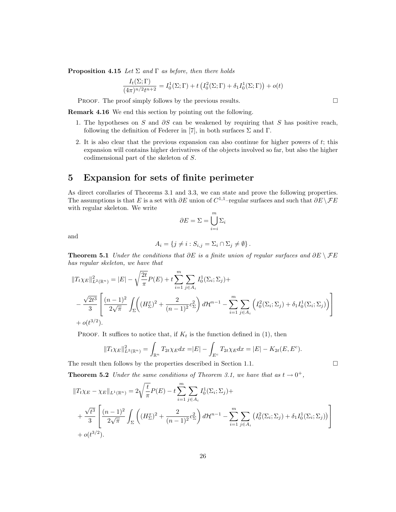**Proposition 4.15** Let  $\Sigma$  and  $\Gamma$  as before, then there holds

$$
\frac{I_t(\Sigma;\Gamma)}{(4\pi)^{n/2}t^{n+2}} = I_0^1(\Sigma;\Gamma) + t\left(I_0^2(\Sigma;\Gamma) + \delta_1 I_0^1(\Sigma;\Gamma)\right) + o(t)
$$

PROOF. The proof simply follows by the previous results.  $\Box$ 

Remark 4.16 We end this section by pointing out the following.

- 1. The hypotheses on S and ∂S can be weakened by requiring that S has positive reach, following the definition of Federer in [7], in both surfaces  $\Sigma$  and  $\Gamma$ .
- 2. It is also clear that the previous expansion can also continue for higher powers of  $t$ ; this expansion will contains higher derivatives of the objects involved so far, but also the higher codimensional part of the skeleton of S.

## 5 Expansion for sets of finite perimeter

As direct corollaries of Theorems 3.1 and 3.3, we can state and prove the following properties. The assumptions is that E is a set with  $\partial E$  union of  $C^{1,1}$ –regular surfaces and such that  $\partial E \setminus \mathcal{F} E$ with regular skeleton. We write

$$
\partial E = \Sigma = \bigcup_{i=i}^{m} \Sigma_i
$$

and

$$
A_i = \{ j \neq i : S_{i,j} = \Sigma_i \cap \Sigma_j \neq \emptyset \}.
$$

Theorem 5.1 Under the conditions that  $\partial E$  is a finite union of regular surfaces and  $\partial E \setminus \mathcal{F}E$ has regular skeleton, we have that

$$
||T_t \chi_E||_{L^2(\mathbb{R}^n)}^2 = |E| - \sqrt{\frac{2t}{\pi}} P(E) + t \sum_{i=1}^m \sum_{j \in A_i} I_0^1(\Sigma_i; \Sigma_j) +
$$
  
 
$$
- \frac{\sqrt{2t^3}}{3} \left[ \frac{(n-1)^2}{2\sqrt{\pi}} \int_{\Sigma} \left( (H_{\Sigma}^x)^2 + \frac{2}{(n-1)^2} c_{\Sigma}^2 \right) d\mathcal{H}^{n-1} - \sum_{i=1}^m \sum_{j \in A_i} \left( I_0^2(\Sigma_i; \Sigma_j) + \delta_1 I_0^1(\Sigma_i; \Sigma_j) \right) \right] + o(t^{3/2}).
$$

PROOF. It suffices to notice that, if  $K_t$  is the function defined in (1), then

$$
||T_t \chi_E||_{L^2(\mathbb{R}^n)}^2 = \int_{\mathbb{R}^n} T_{2t} \chi_E dx = |E| - \int_{E^c} T_{2t} \chi_E dx = |E| - K_{2t}(E, E^c).
$$

The result then follows by the properties described in Section 1.1.

**Theorem 5.2** Under the same conditions of Theorem 3.1, we have that as  $t \to 0^+$ ,

$$
||T_t \chi_E - \chi_E||_{L^1(\mathbb{R}^n)} = 2\sqrt{\frac{t}{\pi}} P(E) - t \sum_{i=1}^m \sum_{j \in A_i} I_0^1(\Sigma_i; \Sigma_j) +
$$
  
+  $\frac{\sqrt{t^3}}{3} \left[ \frac{(n-1)^2}{2\sqrt{\pi}} \int_{\Sigma} \left( (H_{\Sigma}^x)^2 + \frac{2}{(n-1)^2} c_{\Sigma}^2 \right) d\mathcal{H}^{n-1} - \sum_{i=1}^m \sum_{j \in A_i} \left( I_0^2(\Sigma_i; \Sigma_j) + \delta_1 I_0^1(\Sigma_i; \Sigma_j) \right) \right] + o(t^{3/2}).$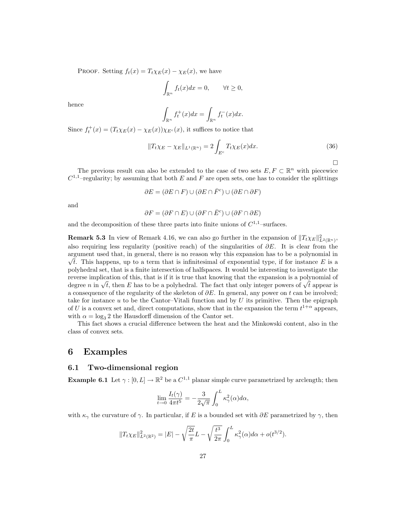PROOF. Setting  $f_t(x) = T_t \chi_E(x) - \chi_E(x)$ , we have

$$
\int_{\mathbb{R}^n} f_t(x)dx = 0, \qquad \forall t \ge 0,
$$

hence

$$
\int_{\mathbb{R}^n} f_t^+(x)dx = \int_{\mathbb{R}^n} f_t^-(x)dx.
$$

Since  $f_t^+(x) = (T_t \chi_E(x) - \chi_E(x)) \chi_{E^c}(x)$ , it suffices to notice that

$$
||T_t \chi_E - \chi_E||_{L^1(\mathbb{R}^n)} = 2 \int_{E^c} T_t \chi_E(x) dx.
$$
 (36)

 $\Box$ 

The previous result can also be extended to the case of two sets  $E, F \subset \mathbb{R}^n$  with piecewice  $C^{1,1}$ -regularity; by assuming that both E and F are open sets, one has to consider the splittings

$$
\partial E = (\partial E \cap F) \cup (\partial E \cap \bar{F}^c) \cup (\partial E \cap \partial F)
$$

and

$$
\partial F = (\partial F \cap E) \cup (\partial F \cap \bar{E}^c) \cup (\partial F \cap \partial E)
$$

and the decomposition of these three parts into finite unions of  $C^{1,1}$ -surfaces.

**Remark 5.3** In view of Remark 4.16, we can also go further in the expansion of  $||T_t \chi_E||^2_{L^2(\mathbb{R}^n)}$ , also requiring less regularity (positive reach) of the singularities of  $\partial E$ . It is clear from the argument used that, in general, there is no reason why this expansion has to be a polynomial in √  $\sqrt{t}$ . This happens, up to a term that is infinitesimal of exponential type, if for instance E is a polyhedral set, that is a finite intersection of halfspaces. It would be interesting to investigate the reverse implication of this, that is if it is true that knowing that the expansion is a polynomial of reverse impication of this, that is if it is true that knowing that the expansion is a polyhomial of degree n in  $\sqrt{t}$ , then E has to be a polyhedral. The fact that only integer powers of  $\sqrt{t}$  appear is a consequence of the regularity of the skeleton of  $\partial E$ . In general, any power on t can be involved; take for instance  $u$  to be the Cantor–Vitali function and by  $U$  its primitive. Then the epigraph of U is a convex set and, direct computations, show that in the expansion the term  $t^{1+\alpha}$  appears, with  $\alpha = \log_3 2$  the Hausdorff dimension of the Cantor set.

This fact shows a crucial difference between the heat and the Minkowski content, also in the class of convex sets.

## 6 Examples

### 6.1 Two-dimensional region

**Example 6.1** Let  $\gamma : [0, L] \to \mathbb{R}^2$  be a  $C^{1,1}$  planar simple curve parametrized by arclength; then

$$
\lim_{t \to 0} \frac{I_t(\gamma)}{4\pi t^5} = -\frac{3}{2\sqrt{\pi}} \int_0^L \kappa_\gamma^2(\alpha) d\alpha,
$$

with  $\kappa_{\gamma}$  the curvature of  $\gamma$ . In particular, if E is a bounded set with  $\partial E$  parametrized by  $\gamma$ , then

$$
||T_t\chi_E||^2_{L^2(\mathbb{R}^2)} = |E| - \sqrt{\frac{2t}{\pi}}L - \sqrt{\frac{t^3}{2\pi}}\int_0^L \kappa_\gamma^2(\alpha)d\alpha + o(t^{3/2}).
$$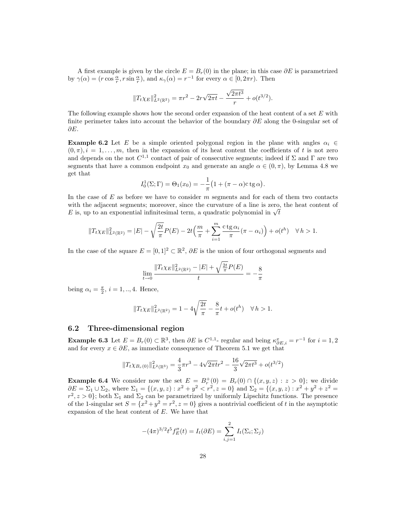A first example is given by the circle  $E = B<sub>r</sub>(0)$  in the plane; in this case  $\partial E$  is parametrized by  $\gamma(\alpha) = (r \cos \frac{\alpha}{r}, r \sin \frac{\alpha}{r}), \text{ and } \kappa_{\gamma}(\alpha) = r^{-1}$  for every  $\alpha \in [0, 2\pi r)$ . Then

$$
||T_t \chi_E||_{L^2(\mathbb{R}^2)}^2 = \pi r^2 - 2r\sqrt{2\pi t} - \frac{\sqrt{2\pi t^3}}{r} + o(t^{3/2}).
$$

The following example shows how the second order expansion of the heat content of a set E with finite perimeter takes into account the behavior of the boundary  $\partial E$  along the 0-singular set of ∂E.

**Example 6.2** Let E be a simple oriented polygonal region in the plane with angles  $\alpha_i \in$  $(0, \pi), i = 1, \ldots, m$ , then in the expansion of its heat content the coefficients of t is not zero and depends on the not  $C^{1,1}$  contact of pair of consecutive segments; indeed if  $\Sigma$  and  $\Gamma$  are two segments that have a common endpoint  $x_0$  and generate an angle  $\alpha \in (0, \pi)$ , by Lemma 4.8 we get that

$$
I_0^1(\Sigma; \Gamma) = \Theta_1(x_0) = -\frac{1}{\pi} \big( 1 + (\pi - \alpha) c \, \text{tg} \, \alpha \big).
$$

In the case of  $E$  as before we have to consider  $m$  segments and for each of them two contacts with the adjacent segments; moreover, since the curvature of a line is zero, the heat content of with the adjacent segments; moreover, since the curvature of a line is zero,  $E$  is, up to an exponential infinitesimal term, a quadratic polynomial in  $\sqrt{t}$ 

$$
||T_t \chi_E||_{L^2(\mathbb{R}^2)}^2 = |E| - \sqrt{\frac{2t}{\pi}} P(E) - 2t \left( \frac{m}{\pi} + \sum_{i=1}^m \frac{ctg \alpha_i}{\pi} (\pi - \alpha_i) \right) + o(t^h) \quad \forall \, h > 1.
$$

In the case of the square  $E = [0, 1]^2 \subset \mathbb{R}^2$ ,  $\partial E$  is the union of four orthogonal segments and

$$
\lim_{t \to 0} \frac{\|T_t \chi_E\|_{L^2(\mathbb{R}^2)}^2 - |E| + \sqrt{\frac{2t}{\pi}} P(E)}{t} = -\frac{8}{\pi}
$$

being  $\alpha_i = \frac{\pi}{2}$ ,  $i = 1, ..., 4$ . Hence,

$$
||T_t\chi_E||_{L^2(\mathbb{R}^2)}^2 = 1 - 4\sqrt{\frac{2t}{\pi}} - \frac{8}{\pi}t + o(t^h) \quad \forall \, h > 1.
$$

### 6.2 Three-dimensional region

**Example 6.3** Let  $E = B_r(0) \subset \mathbb{R}^3$ , then  $\partial E$  is  $C^{1,1}$ - regular and being  $\kappa_{\partial E,i}^x = r^{-1}$  for  $i = 1,2$ and for every  $x \in \partial E$ , as immediate consequence of Theorem 5.1 we get that

$$
||T_t \chi_{B_r(0)}||^2_{L^2(\mathbb{R}^3)} = \frac{4}{3}\pi r^3 - 4\sqrt{2\pi t}r^2 - \frac{16}{3}\sqrt{2\pi t^3} + o(t^{3/2})
$$

**Example 6.4** We consider now the set  $E = B_r^+(0) = B_r(0) \cap \{(x, y, z) : z > 0\}$ ; we divide  $\partial E = \Sigma_1 \cup \Sigma_2$ , where  $\Sigma_1 = \{(x, y, z) : x^2 + y^2 < r^2, z = 0\}$  and  $\Sigma_2 = \{(x, y, z) : x^2 + y^2 + z^2 = 0\}$  $r^2, z > 0$ ; both  $\Sigma_1$  and  $\Sigma_2$  can be parametrized by uniformly Lipschitz functions. The presence of the 1-singular set  $S = \{x^2 + y^2 = r^2, z = 0\}$  gives a nontrivial coefficient of t in the asymptotic expansion of the heat content of E. We have that

$$
-(4\pi)^{3/2}t^5 f''_E(t) = I_t(\partial E) = \sum_{i,j=1}^2 I_t(\Sigma_i; \Sigma_j)
$$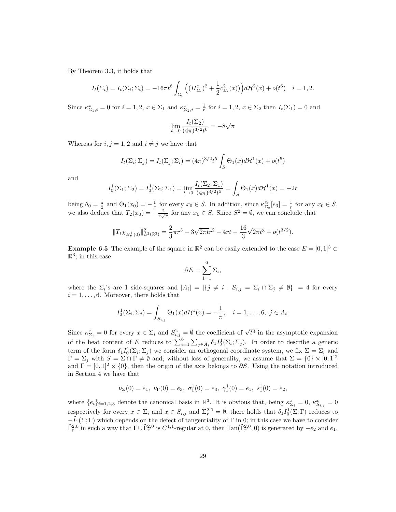By Theorem 3.3, it holds that

$$
I_t(\Sigma_i) = I_t(\Sigma_i; \Sigma_i) = -16\pi t^6 \int_{\Sigma_i} \left( (H_{\Sigma_i}^x)^2 + \frac{1}{2} c_{\Sigma_i}^2(x) \right) d\mathcal{H}^2(x) + o(t^6) \quad i = 1, 2.
$$

Since  $\kappa_{\Sigma_1,i}^x = 0$  for  $i = 1, 2, x \in \Sigma_1$  and  $\kappa_{\Sigma_2,i}^x = \frac{1}{r}$  for  $i = 1, 2, x \in \Sigma_2$  then  $I_t(\Sigma_1) = 0$  and

$$
\lim_{t \to 0} \frac{I_t(\Sigma_2)}{(4\pi)^{3/2}t^6} = -8\sqrt{\pi}
$$

Whereas for  $i, j = 1, 2$  and  $i \neq j$  we have that

$$
I_t(\Sigma_i; \Sigma_j) = I_t(\Sigma_j; \Sigma_i) = (4\pi)^{3/2} t^5 \int_S \Theta_1(x) d\mathcal{H}^1(x) + o(t^5)
$$

and

$$
I_0^1(\Sigma_1; \Sigma_2) = I_0^1(\Sigma_2; \Sigma_1) = \lim_{t \to 0} \frac{I_t(\Sigma_2; \Sigma_1)}{(4\pi)^{3/2} t^5} = \int_S \Theta_1(x) d\mathcal{H}^1(x) = -2r
$$

being  $\theta_0 = \frac{\pi}{2}$  and  $\Theta_1(x_0) = -\frac{1}{\pi}$  for every  $x_0 \in S$ . In addition, since  $\kappa_{\Sigma_2}^{x_0}[e_3] = \frac{1}{r}$  for any  $x_0 \in S$ , we also deduce that  $T_2(x_0) = -\frac{2}{r\sqrt{\pi}}$  for any  $x_0 \in S$ . Since  $S^2 = \emptyset$ , we can conclude that

$$
||T_t \chi_{B_r^+(0)}||^2_{L^2(\mathbb{R}^3)} = \frac{2}{3}\pi r^3 - 3\sqrt{2\pi t}r^2 - 4rt - \frac{16}{3}\sqrt{2\pi t^3} + o(t^{3/2}).
$$

**Example 6.5** The example of the square in  $\mathbb{R}^2$  can be easily extended to the case  $E = [0, 1]^3 \subset$  $\mathbb{R}^3$ ; in this case

$$
\partial E = \sum_{1=1}^{6} \Sigma_i,
$$

where the  $\Sigma_i$ 's are 1 side-squares and  $|A_i| = |\{j \neq i : S_{i,j} = \Sigma_i \cap \Sigma_j \neq \emptyset\}| = 4$  for every  $i = 1, \ldots, 6$ . Moreover, there holds that

$$
I_0^1(\Sigma_i; \Sigma_j) = \int_{S_{i,j}} \Theta_1(x) d\mathcal{H}^1(x) = -\frac{1}{\pi}, \quad i = 1, \dots, 6, \ j \in A_i.
$$

Since  $\kappa_{\Sigma_i}^x = 0$  for every  $x \in \Sigma_i$  and  $S_{i,j}^2 = \emptyset$  the coefficient of  $\sqrt{t^3}$  in the asymptotic expansion of the heat content of E reduces to  $\sum_{i=1}^{6} \sum_{j \in A_i} \delta_1 I_0^1(\Sigma_i; \Sigma_j)$ . In order to describe a generic term of the form  $\delta_1 I_0^1(\Sigma_i; \Sigma_j)$  we consider an orthogonal coordinate system, we fix  $\Sigma = \Sigma_i$  and  $\Gamma = \Sigma_j$  with  $S = \Sigma \cap \Gamma \neq \emptyset$  and, without loss of generality, we assume that  $\Sigma = \{0\} \times [0,1]^2$ and  $\Gamma = [0, 1]^2 \times \{0\}$ , then the origin of the axis belongs to  $\partial S$ . Using the notation introduced in Section 4 we have that

$$
\nu_{\Sigma}(0) = e_1, \ \nu_{\Gamma}(0) = e_3, \ \sigma_1^1(0) = e_3, \ \gamma_1^1(0) = e_1, \ s_1^1(0) = e_2,
$$

where  $\{e_i\}_{i=1,2,3}$  denote the canonical basis in  $\mathbb{R}^3$ . It is obvious that, being  $\kappa_{\Sigma_i}^x = 0$ ,  $\kappa_{S_{i,j}}^x = 0$ respectively for every  $x \in \Sigma_i$  and  $x \in S_{i,j}$  and  $\tilde{\Sigma}_r^{2,0} = \emptyset$ , there holds that  $\delta_1 I_0^1(\Sigma; \Gamma)$  reduces to  $-\tilde{I}_1(\Sigma;\Gamma)$  which depends on the defect of tangentiality of  $\Gamma$  in 0; in this case we have to consider  $\tilde{\Gamma}_r^{2,0}$  in such a way that  $\Gamma \cup \tilde{\Gamma}_r^{2,0}$  is  $C^{1,1}$ -regular at 0, then  $\text{Tan}(\tilde{\Gamma}_r^{2,0},0)$  is generated by  $-e_2$  and  $e_1$ .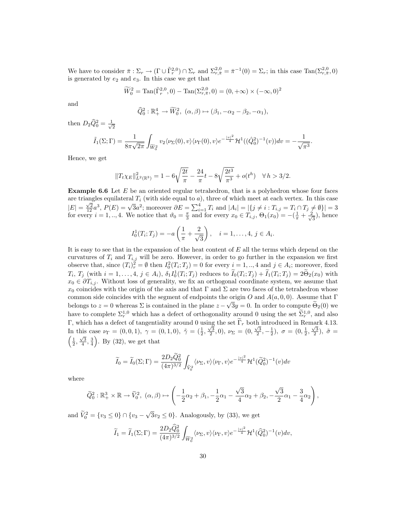We have to consider  $\bar{\pi}: \Sigma_r \to (\Gamma \cup \tilde{\Gamma}_r^{2,0}) \cap \Sigma_r$  and  $\Sigma_{r,\bar{\pi}}^{2,0} = \bar{\pi}^{-1}(0) = \Sigma_r$ ; in this case  $\text{Tan}(\Sigma_{r,\bar{\pi}}^{2,0},0)$ is generated by  $e_2$  and  $e_3$ . In this case we get that

$$
\widetilde{W}_0^2 = \text{Tan}(\widetilde{\Gamma}_r^{2,0}, 0) - \text{Tan}(\Sigma_{r,\bar{\pi}}^{2,0}, 0) = (0, +\infty) \times (-\infty, 0)^2
$$

and

$$
\widehat{Q}_0^2 : \mathbb{R}_+^4 \to \widetilde{W}_0^2, \ (\alpha, \beta) \mapsto (\beta_1, -\alpha_2 - \beta_2, -\alpha_1),
$$

then  $D_2\widehat{Q}_0^2 = \frac{1}{\sqrt{2}}$ 2

$$
\tilde{I}_1(\Sigma;\Gamma) = \frac{1}{8\pi\sqrt{2\pi}} \int_{\widetilde{W}_0^2} v_2 \langle \nu_\Sigma(0), v \rangle \langle \nu_\Gamma(0), v \rangle e^{-\frac{|v|^2}{4}} \mathcal{H}^1((\hat{Q}_0^2)^{-1}(v)) dv = -\frac{1}{\sqrt{\pi^3}}.
$$

Hence, we get

$$
||T_t\chi_E||^2_{L^2(\mathbb{R}^3)} = 1 - 6\sqrt{\frac{2t}{\pi}} - \frac{24}{\pi}t - 8\sqrt{\frac{2t^3}{\pi^3}} + o(t^h) \quad \forall \, h > 3/2.
$$

Example 6.6 Let E be an oriented regular tetrahedron, that is a polyhedron whose four faces are triangles equilateral  $T_i$  (with side equal to a), three of which meet at each vertex. In this case  $|E| = \frac{\sqrt{2}}{12}a^3$ ,  $P(E) = \sqrt{3}a^2$ ; moreover  $\partial E = \sum_{i=1}^4 T_i$  and  $|A_i| = |\{j \neq i : T_{i,j} = T_i \cap T_j \neq \emptyset\}| = 3$ for every  $i = 1, ..., 4$ . We notice that  $\vartheta_0 = \frac{\pi}{3}$  and for every  $x_0 \in T_{i,j}$ ,  $\Theta_1(x_0) = -(\frac{1}{\pi} + \frac{2}{\sqrt{3}})$  $\frac{1}{3}$ , hence

$$
I_0^1(T_i; T_j) = -a\left(\frac{1}{\pi} + \frac{2}{\sqrt{3}}\right), \quad i = 1, ..., 4, j \in A_i.
$$

It is easy to see that in the expansion of the heat content of  $E$  all the terms which depend on the curvatures of  $T_i$  and  $T_{i,j}$  will be zero. However, in order to go further in the expansion we first observe that, since  $(T_i)_{r}^2 = \emptyset$  then  $I_0^2(T_i; T_j) = 0$  for every  $i = 1, ..., 4$  and  $j \in A_i$ ; moreover, fixed  $T_i, T_j$  (with  $i = 1, \ldots, 4, j \in A_i$ ),  $\delta_1 I_0^1(T_i; T_j)$  reduces to  $\tilde{I}_0(T_i; T_j) + \tilde{I}_1(T_i; T_j) = 2\tilde{\Theta}_2(x_0)$  with  $x_0 \in \partial T_{i,j}$ . Without loss of generality, we fix an orthogonal coordinate system, we assume that  $x_0$  coincides with the origin of the axis and that Γ and Σ are two faces of the tetrahedron whose common side coincides with the segment of endpoints the origin O and  $A(a, 0, 0)$ . Assume that  $\Gamma$ belongs to  $z = 0$  whereas  $\Sigma$  is contained in the plane  $z - \sqrt{3}y = 0$ . In order to compute  $\Theta_2(0)$  we have to complete  $\Sigma_r^{1,0}$  which has a defect of orthogonality around 0 using the set  $\tilde{\Sigma}_r^{1,0}$ , and also Γ, which has a defect of tangentiality around 0 using the set  $\widetilde{\Gamma}_r$  both introduced in Remark 4.13. 1, which has a detect of tangemently around 0 using the set 1 r both introduced in rechtance 4.15.<br>In this case  $\nu_{\Gamma} = (0, 0, 1), \ \gamma = (0, 1, 0), \ \tilde{\gamma} = (\frac{1}{2}, \frac{\sqrt{3}}{2}, 0), \ \nu_{\Sigma} = (0, \frac{\sqrt{3}}{2}, -\frac{1}{2}), \ \sigma = (0, \frac{1}{2}, \frac{\sqrt{3}}$  $\left(\frac{1}{2}, \frac{\sqrt{3}}{4}, \frac{3}{4}\right)$ . By (32), we get that

$$
\widetilde{I}_0 = \widetilde{I}_0(\Sigma; \Gamma) = \frac{2D_2 \widetilde{Q}_0^2}{(4\pi)^{3/2}} \int_{\widetilde{V}_0^2} \langle \nu_\Sigma, v \rangle \langle \nu_\Gamma, v \rangle e^{-\frac{|v|^2}{4}} \mathcal{H}^1(\widetilde{Q}_0^2)^{-1}(v) dv
$$

where

$$
\widetilde{Q}_0^2: \mathbb{R}^3_+\times\mathbb{R}\rightarrow \widetilde{V}_0^2, \ (\alpha,\beta)\mapsto \left(-\frac{1}{2}\alpha_2+\beta_1, -\frac{1}{2}\alpha_1-\frac{\sqrt{3}}{4}\alpha_2+\beta_2, -\frac{\sqrt{3}}{2}\alpha_1-\frac{3}{4}\alpha_2\right),
$$

and  $\tilde{V}_0^2 = \{v_3 \le 0\} \cap \{v_3 -$ √  $3v_2 \leq 0$ . Analogously, by (33), we get

$$
\widetilde{I}_1 = \widetilde{I}_1(\Sigma;\Gamma) = \frac{2D_2\widehat{Q}_0^2}{(4\pi)^{3/2}} \int_{\widetilde{W}_0^2} \langle \nu_\Sigma, v \rangle \langle \nu_\Gamma, v \rangle e^{-\frac{|v|^2}{4}} \mathcal{H}^1(\widehat{Q}_0^2)^{-1}(v) dv,
$$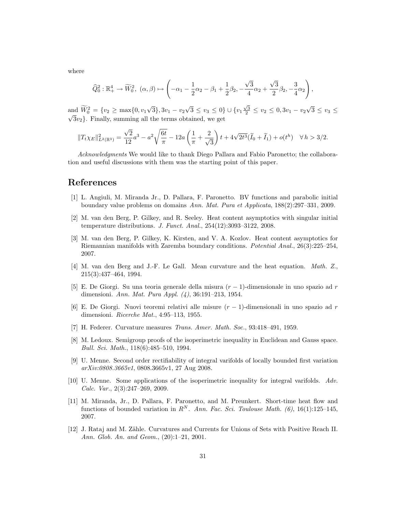where

$$
\widehat{Q}_0^2 : \mathbb{R}_+^4 \to \widetilde{W}_0^2, \ (\alpha, \beta) \mapsto \left( -\alpha_1 - \frac{1}{2}\alpha_2 - \beta_1 + \frac{1}{2}\beta_2, -\frac{\sqrt{3}}{4}\alpha_2 + \frac{\sqrt{3}}{2}\beta_2, -\frac{3}{4}\alpha_2 \right),
$$

and  $\widetilde{W}_0^2 = \{v_2 \ge \max\{0, v_1\}$ √  $\{3\}, 3v_1-v_2$ √  $\overline{3} \leq v_3 \leq 0$   $\} \cup \{v_1 \frac{\sqrt{3}}{2} \leq v_2 \leq 0, 3v_1 - v_2$ √ and  $W_0^2 = \{v_2 \ge \max\{0, v_1\sqrt{3}\}, 3v_1 - v_2\sqrt{3} \le v_3 \le 0\} \cup \{v_1\frac{\sqrt{3}}{2} \le v_2 \le 0, 3v_1 - v_2\sqrt{3} \le v_3 \le 0\}$  $\sqrt{3}v_2$ . Finally, summing all the terms obtained, we get

$$
||T_t\chi_E||^2_{L^2(\mathbb{R}^3)} = \frac{\sqrt{2}}{12}a^3 - a^2\sqrt{\frac{6t}{\pi}} - 12a\left(\frac{1}{\pi} + \frac{2}{\sqrt{3}}\right)t + 4\sqrt{2t^3}(\widetilde{I}_0 + \widetilde{I}_1) + o(t^h) \quad \forall h > 3/2.
$$

Acknowledgments We would like to thank Diego Pallara and Fabio Paronetto; the collaboration and useful discussions with them was the starting point of this paper.

## References

- [1] L. Angiuli, M. Miranda Jr., D. Pallara, F. Paronetto. BV functions and parabolic initial boundary value problems on domains Ann. Mat. Pura et Applicata, 188(2):297–331, 2009.
- [2] M. van den Berg, P. Gilkey, and R. Seeley. Heat content asymptotics with singular initial temperature distributions. J. Funct. Anal., 254(12):3093–3122, 2008.
- [3] M. van den Berg, P. Gilkey, K. Kirsten, and V. A. Kozlov. Heat content asymptotics for Riemannian manifolds with Zaremba boundary conditions. Potential Anal., 26(3):225–254, 2007.
- [4] M. van den Berg and J.-F. Le Gall. Mean curvature and the heat equation. Math. Z., 215(3):437–464, 1994.
- [5] E. De Giorgi. Su una teoria generale della misura  $(r-1)$ -dimensionale in uno spazio ad r dimensioni. Ann. Mat. Pura Appl. (4), 36:191–213, 1954.
- [6] E. De Giorgi. Nuovi teoremi relativi alle misure  $(r-1)$ -dimensionali in uno spazio ad r dimensioni. Ricerche Mat., 4:95–113, 1955.
- [7] H. Federer. Curvature measures Trans. Amer. Math. Soc., 93:418–491, 1959.
- [8] M. Ledoux. Semigroup proofs of the isoperimetric inequality in Euclidean and Gauss space. Bull. Sci. Math., 118(6):485–510, 1994.
- [9] U. Menne. Second order rectifiability of integral varifolds of locally bounded first variation  $arXiv:0808.3665v1,0808.3665v1,27 \text{ Aug } 2008.$
- [10] U. Menne. Some applications of the isoperimetric inequality for integral varifolds. Adv. Calc. Var., 2(3):247–269, 2009.
- [11] M. Miranda, Jr., D. Pallara, F. Paronetto, and M. Preunkert. Short-time heat flow and functions of bounded variation in  $R^N$ . Ann. Fac. Sci. Toulouse Math. (6), 16(1):125-145, 2007.
- [12] J. Rataj and M. Zähle. Curvatures and Currents for Unions of Sets with Positive Reach II. Ann. Glob. An. and Geom., (20):1-21, 2001.